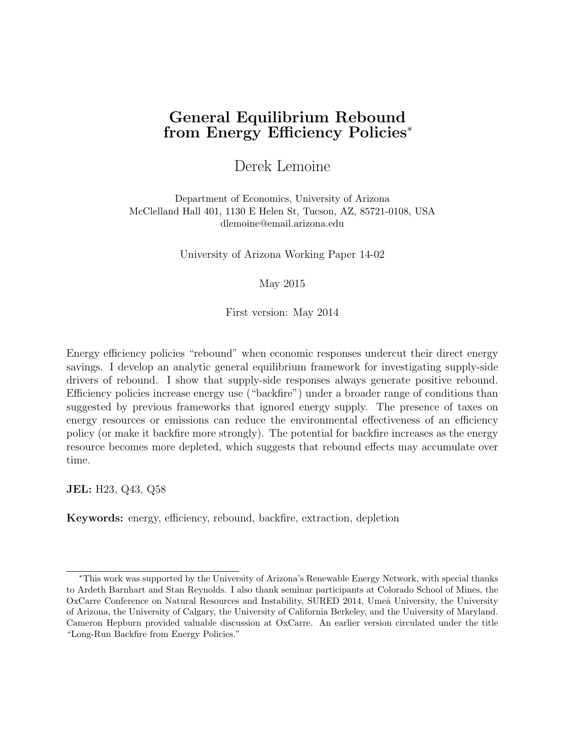# General Equilibrium Rebound from Energy Efficiency Policies<sup>∗</sup>

Derek Lemoine

Department of Economics, University of Arizona McClelland Hall 401, 1130 E Helen St, Tucson, AZ, 85721-0108, USA dlemoine@email.arizona.edu

University of Arizona Working Paper 14-02

May 2015

First version: May 2014

Energy efficiency policies "rebound" when economic responses undercut their direct energy savings. I develop an analytic general equilibrium framework for investigating supply-side drivers of rebound. I show that supply-side responses always generate positive rebound. Efficiency policies increase energy use ("backfire") under a broader range of conditions than suggested by previous frameworks that ignored energy supply. The presence of taxes on energy resources or emissions can reduce the environmental effectiveness of an efficiency policy (or make it backfire more strongly). The potential for backfire increases as the energy resource becomes more depleted, which suggests that rebound effects may accumulate over time.

JEL: H23, Q43, Q58

Keywords: energy, efficiency, rebound, backfire, extraction, depletion

<sup>∗</sup>This work was supported by the University of Arizona's Renewable Energy Network, with special thanks to Ardeth Barnhart and Stan Reynolds. I also thank seminar participants at Colorado School of Mines, the OxCarre Conference on Natural Resources and Instability, SURED 2014, Umeå University, the University of Arizona, the University of Calgary, the University of California Berkeley, and the University of Maryland. Cameron Hepburn provided valuable discussion at OxCarre. An earlier version circulated under the title "Long-Run Backfire from Energy Policies."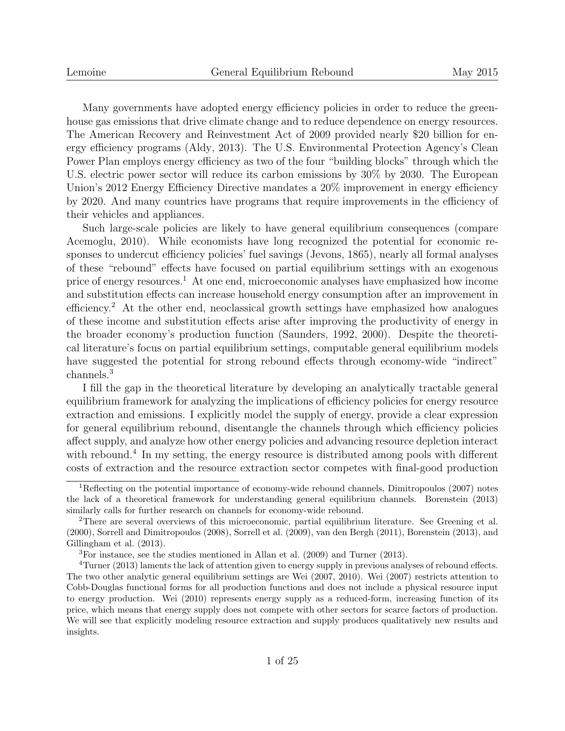Many governments have adopted energy efficiency policies in order to reduce the greenhouse gas emissions that drive climate change and to reduce dependence on energy resources. The American Recovery and Reinvestment Act of 2009 provided nearly \$20 billion for energy efficiency programs (Aldy, 2013). The U.S. Environmental Protection Agency's Clean Power Plan employs energy efficiency as two of the four "building blocks" through which the U.S. electric power sector will reduce its carbon emissions by 30% by 2030. The European Union's 2012 Energy Efficiency Directive mandates a 20% improvement in energy efficiency by 2020. And many countries have programs that require improvements in the efficiency of their vehicles and appliances.

Such large-scale policies are likely to have general equilibrium consequences (compare Acemoglu, 2010). While economists have long recognized the potential for economic responses to undercut efficiency policies' fuel savings (Jevons, 1865), nearly all formal analyses of these "rebound" effects have focused on partial equilibrium settings with an exogenous price of energy resources.<sup>1</sup> At one end, microeconomic analyses have emphasized how income and substitution effects can increase household energy consumption after an improvement in efficiency.<sup>2</sup> At the other end, neoclassical growth settings have emphasized how analogues of these income and substitution effects arise after improving the productivity of energy in the broader economy's production function (Saunders, 1992, 2000). Despite the theoretical literature's focus on partial equilibrium settings, computable general equilibrium models have suggested the potential for strong rebound effects through economy-wide "indirect" channels.<sup>3</sup>

I fill the gap in the theoretical literature by developing an analytically tractable general equilibrium framework for analyzing the implications of efficiency policies for energy resource extraction and emissions. I explicitly model the supply of energy, provide a clear expression for general equilibrium rebound, disentangle the channels through which efficiency policies affect supply, and analyze how other energy policies and advancing resource depletion interact with rebound.<sup>4</sup> In my setting, the energy resource is distributed among pools with different costs of extraction and the resource extraction sector competes with final-good production

<sup>1</sup>Reflecting on the potential importance of economy-wide rebound channels, Dimitropoulos (2007) notes the lack of a theoretical framework for understanding general equilibrium channels. Borenstein (2013) similarly calls for further research on channels for economy-wide rebound.

<sup>2</sup>There are several overviews of this microeconomic, partial equilibrium literature. See Greening et al. (2000), Sorrell and Dimitropoulos (2008), Sorrell et al. (2009), van den Bergh (2011), Borenstein (2013), and Gillingham et al. (2013).

<sup>3</sup>For instance, see the studies mentioned in Allan et al. (2009) and Turner (2013).

<sup>&</sup>lt;sup>4</sup>Turner (2013) laments the lack of attention given to energy supply in previous analyses of rebound effects. The two other analytic general equilibrium settings are Wei (2007, 2010). Wei (2007) restricts attention to Cobb-Douglas functional forms for all production functions and does not include a physical resource input to energy production. Wei (2010) represents energy supply as a reduced-form, increasing function of its price, which means that energy supply does not compete with other sectors for scarce factors of production. We will see that explicitly modeling resource extraction and supply produces qualitatively new results and insights.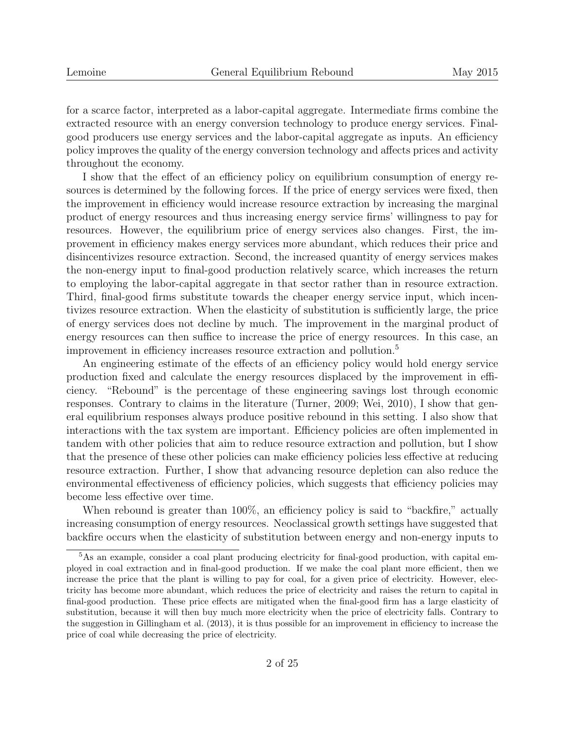for a scarce factor, interpreted as a labor-capital aggregate. Intermediate firms combine the extracted resource with an energy conversion technology to produce energy services. Finalgood producers use energy services and the labor-capital aggregate as inputs. An efficiency policy improves the quality of the energy conversion technology and affects prices and activity throughout the economy.

I show that the effect of an efficiency policy on equilibrium consumption of energy resources is determined by the following forces. If the price of energy services were fixed, then the improvement in efficiency would increase resource extraction by increasing the marginal product of energy resources and thus increasing energy service firms' willingness to pay for resources. However, the equilibrium price of energy services also changes. First, the improvement in efficiency makes energy services more abundant, which reduces their price and disincentivizes resource extraction. Second, the increased quantity of energy services makes the non-energy input to final-good production relatively scarce, which increases the return to employing the labor-capital aggregate in that sector rather than in resource extraction. Third, final-good firms substitute towards the cheaper energy service input, which incentivizes resource extraction. When the elasticity of substitution is sufficiently large, the price of energy services does not decline by much. The improvement in the marginal product of energy resources can then suffice to increase the price of energy resources. In this case, an improvement in efficiency increases resource extraction and pollution.<sup>5</sup>

An engineering estimate of the effects of an efficiency policy would hold energy service production fixed and calculate the energy resources displaced by the improvement in efficiency. "Rebound" is the percentage of these engineering savings lost through economic responses. Contrary to claims in the literature (Turner, 2009; Wei, 2010), I show that general equilibrium responses always produce positive rebound in this setting. I also show that interactions with the tax system are important. Efficiency policies are often implemented in tandem with other policies that aim to reduce resource extraction and pollution, but I show that the presence of these other policies can make efficiency policies less effective at reducing resource extraction. Further, I show that advancing resource depletion can also reduce the environmental effectiveness of efficiency policies, which suggests that efficiency policies may become less effective over time.

When rebound is greater than 100%, an efficiency policy is said to "backfire," actually increasing consumption of energy resources. Neoclassical growth settings have suggested that backfire occurs when the elasticity of substitution between energy and non-energy inputs to

<sup>&</sup>lt;sup>5</sup>As an example, consider a coal plant producing electricity for final-good production, with capital employed in coal extraction and in final-good production. If we make the coal plant more efficient, then we increase the price that the plant is willing to pay for coal, for a given price of electricity. However, electricity has become more abundant, which reduces the price of electricity and raises the return to capital in final-good production. These price effects are mitigated when the final-good firm has a large elasticity of substitution, because it will then buy much more electricity when the price of electricity falls. Contrary to the suggestion in Gillingham et al. (2013), it is thus possible for an improvement in efficiency to increase the price of coal while decreasing the price of electricity.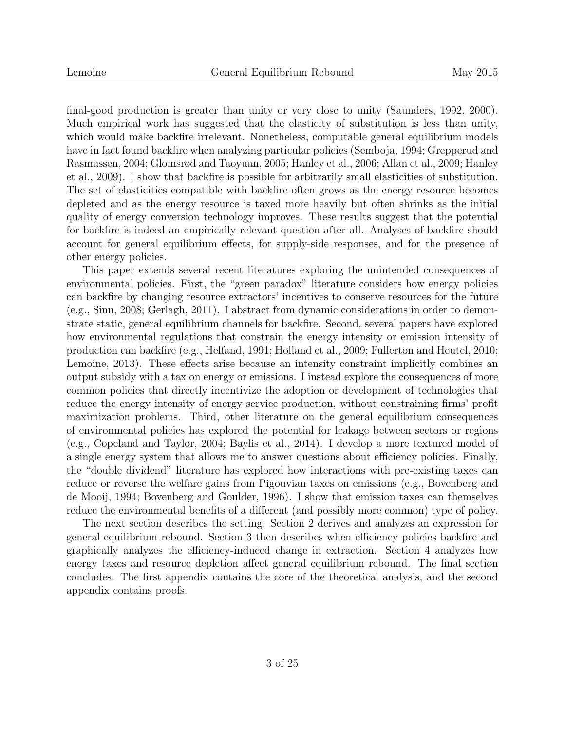final-good production is greater than unity or very close to unity (Saunders, 1992, 2000). Much empirical work has suggested that the elasticity of substitution is less than unity, which would make backfire irrelevant. Nonetheless, computable general equilibrium models have in fact found backfire when analyzing particular policies (Semboja, 1994; Grepperud and Rasmussen, 2004; Glomsrød and Taoyuan, 2005; Hanley et al., 2006; Allan et al., 2009; Hanley et al., 2009). I show that backfire is possible for arbitrarily small elasticities of substitution. The set of elasticities compatible with backfire often grows as the energy resource becomes depleted and as the energy resource is taxed more heavily but often shrinks as the initial quality of energy conversion technology improves. These results suggest that the potential for backfire is indeed an empirically relevant question after all. Analyses of backfire should account for general equilibrium effects, for supply-side responses, and for the presence of other energy policies.

This paper extends several recent literatures exploring the unintended consequences of environmental policies. First, the "green paradox" literature considers how energy policies can backfire by changing resource extractors' incentives to conserve resources for the future (e.g., Sinn, 2008; Gerlagh, 2011). I abstract from dynamic considerations in order to demonstrate static, general equilibrium channels for backfire. Second, several papers have explored how environmental regulations that constrain the energy intensity or emission intensity of production can backfire (e.g., Helfand, 1991; Holland et al., 2009; Fullerton and Heutel, 2010; Lemoine, 2013). These effects arise because an intensity constraint implicitly combines an output subsidy with a tax on energy or emissions. I instead explore the consequences of more common policies that directly incentivize the adoption or development of technologies that reduce the energy intensity of energy service production, without constraining firms' profit maximization problems. Third, other literature on the general equilibrium consequences of environmental policies has explored the potential for leakage between sectors or regions (e.g., Copeland and Taylor, 2004; Baylis et al., 2014). I develop a more textured model of a single energy system that allows me to answer questions about efficiency policies. Finally, the "double dividend" literature has explored how interactions with pre-existing taxes can reduce or reverse the welfare gains from Pigouvian taxes on emissions (e.g., Bovenberg and de Mooij, 1994; Bovenberg and Goulder, 1996). I show that emission taxes can themselves reduce the environmental benefits of a different (and possibly more common) type of policy.

The next section describes the setting. Section 2 derives and analyzes an expression for general equilibrium rebound. Section 3 then describes when efficiency policies backfire and graphically analyzes the efficiency-induced change in extraction. Section 4 analyzes how energy taxes and resource depletion affect general equilibrium rebound. The final section concludes. The first appendix contains the core of the theoretical analysis, and the second appendix contains proofs.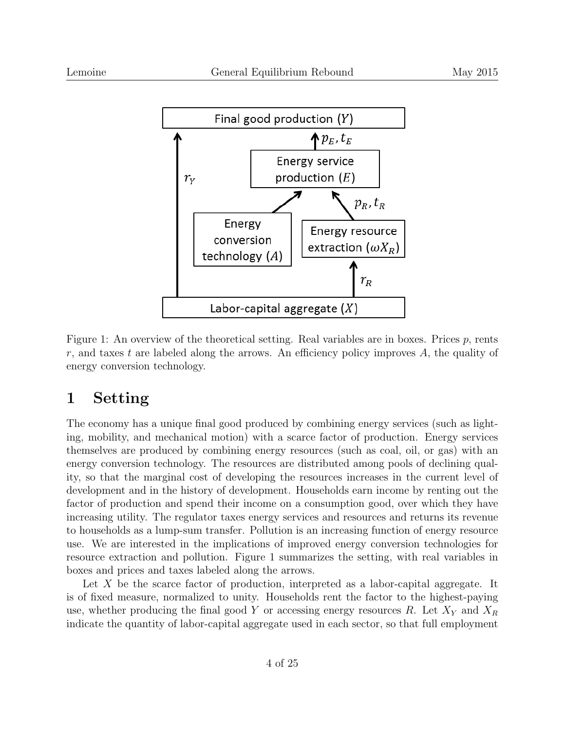

Figure 1: An overview of the theoretical setting. Real variables are in boxes. Prices  $p$ , rents r, and taxes t are labeled along the arrows. An efficiency policy improves  $A$ , the quality of energy conversion technology.

# 1 Setting

The economy has a unique final good produced by combining energy services (such as lighting, mobility, and mechanical motion) with a scarce factor of production. Energy services themselves are produced by combining energy resources (such as coal, oil, or gas) with an energy conversion technology. The resources are distributed among pools of declining quality, so that the marginal cost of developing the resources increases in the current level of development and in the history of development. Households earn income by renting out the factor of production and spend their income on a consumption good, over which they have increasing utility. The regulator taxes energy services and resources and returns its revenue to households as a lump-sum transfer. Pollution is an increasing function of energy resource use. We are interested in the implications of improved energy conversion technologies for resource extraction and pollution. Figure 1 summarizes the setting, with real variables in boxes and prices and taxes labeled along the arrows.

Let  $X$  be the scarce factor of production, interpreted as a labor-capital aggregate. It is of fixed measure, normalized to unity. Households rent the factor to the highest-paying use, whether producing the final good Y or accessing energy resources R. Let  $X<sub>Y</sub>$  and  $X<sub>R</sub>$ indicate the quantity of labor-capital aggregate used in each sector, so that full employment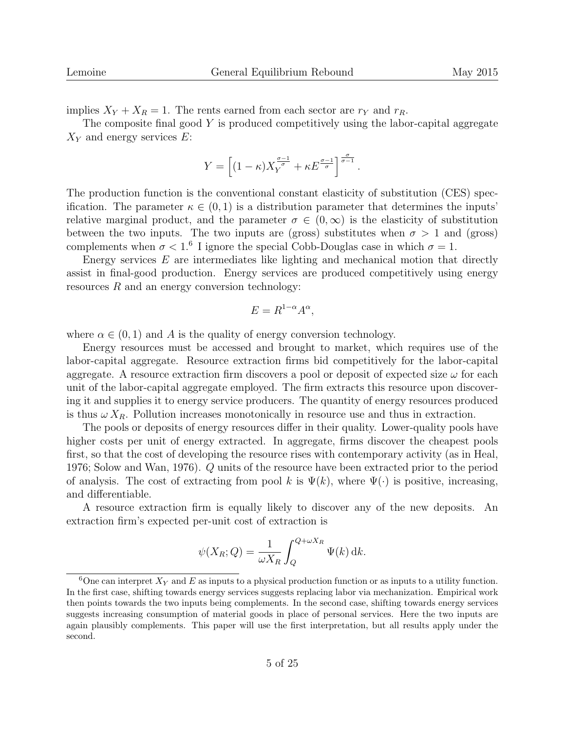implies  $X_Y + X_R = 1$ . The rents earned from each sector are  $r_Y$  and  $r_R$ .

The composite final good Y is produced competitively using the labor-capital aggregate  $X_Y$  and energy services E:

$$
Y = \left[ (1 - \kappa) X_Y^{\frac{\sigma - 1}{\sigma}} + \kappa E^{\frac{\sigma - 1}{\sigma}} \right]^{\frac{\sigma}{\sigma - 1}}.
$$

The production function is the conventional constant elasticity of substitution (CES) specification. The parameter  $\kappa \in (0,1)$  is a distribution parameter that determines the inputs' relative marginal product, and the parameter  $\sigma \in (0,\infty)$  is the elasticity of substitution between the two inputs. The two inputs are (gross) substitutes when  $\sigma > 1$  and (gross) complements when  $\sigma < 1.6$  I ignore the special Cobb-Douglas case in which  $\sigma = 1$ .

Energy services  $E$  are intermediates like lighting and mechanical motion that directly assist in final-good production. Energy services are produced competitively using energy resources R and an energy conversion technology:

$$
E = R^{1-\alpha} A^{\alpha},
$$

where  $\alpha \in (0,1)$  and A is the quality of energy conversion technology.

Energy resources must be accessed and brought to market, which requires use of the labor-capital aggregate. Resource extraction firms bid competitively for the labor-capital aggregate. A resource extraction firm discovers a pool or deposit of expected size  $\omega$  for each unit of the labor-capital aggregate employed. The firm extracts this resource upon discovering it and supplies it to energy service producers. The quantity of energy resources produced is thus  $\omega X_R$ . Pollution increases monotonically in resource use and thus in extraction.

The pools or deposits of energy resources differ in their quality. Lower-quality pools have higher costs per unit of energy extracted. In aggregate, firms discover the cheapest pools first, so that the cost of developing the resource rises with contemporary activity (as in Heal, 1976; Solow and Wan, 1976). Q units of the resource have been extracted prior to the period of analysis. The cost of extracting from pool k is  $\Psi(k)$ , where  $\Psi(\cdot)$  is positive, increasing, and differentiable.

A resource extraction firm is equally likely to discover any of the new deposits. An extraction firm's expected per-unit cost of extraction is

$$
\psi(X_R; Q) = \frac{1}{\omega X_R} \int_Q^{Q + \omega X_R} \Psi(k) \, \mathrm{d}k.
$$

<sup>&</sup>lt;sup>6</sup>One can interpret  $X_Y$  and E as inputs to a physical production function or as inputs to a utility function. In the first case, shifting towards energy services suggests replacing labor via mechanization. Empirical work then points towards the two inputs being complements. In the second case, shifting towards energy services suggests increasing consumption of material goods in place of personal services. Here the two inputs are again plausibly complements. This paper will use the first interpretation, but all results apply under the second.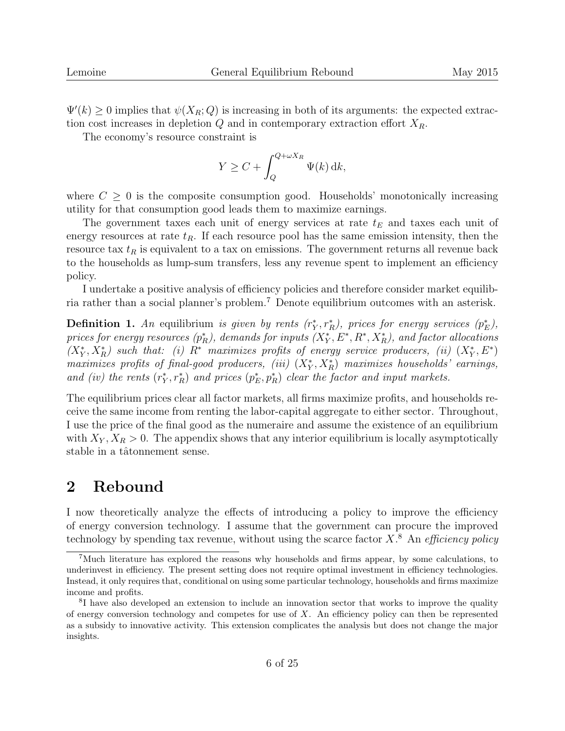$\Psi'(k) \geq 0$  implies that  $\psi(X_R; Q)$  is increasing in both of its arguments: the expected extraction cost increases in depletion  $Q$  and in contemporary extraction effort  $X_R$ .

The economy's resource constraint is

$$
Y \ge C + \int_{Q}^{Q + \omega X_R} \Psi(k) \, \mathrm{d}k,
$$

where  $C \geq 0$  is the composite consumption good. Households' monotonically increasing utility for that consumption good leads them to maximize earnings.

The government taxes each unit of energy services at rate  $t_E$  and taxes each unit of energy resources at rate  $t_R$ . If each resource pool has the same emission intensity, then the resource tax  $t_R$  is equivalent to a tax on emissions. The government returns all revenue back to the households as lump-sum transfers, less any revenue spent to implement an efficiency policy.

I undertake a positive analysis of efficiency policies and therefore consider market equilibria rather than a social planner's problem.<sup>7</sup> Denote equilibrium outcomes with an asterisk.

**Definition 1.** An equilibrium is given by rents  $(r_Y^*, r_R^*)$ , prices for energy services  $(p_E^*)$ , prices for energy resources  $(p_R^*)$ , demands for inputs  $(X_Y^*, E^*, R^*, X_R^*)$ , and factor allocations  $(X^*_Y, X^*_R)$  such that: (i)  $R^*$  maximizes profits of energy service producers, (ii)  $(X^*_Y, E^*)$ maximizes profits of final-good producers, (iii)  $(X^*_Y, X^*_R)$  maximizes households' earnings, and (iv) the rents  $(r_Y^*, r_R^*)$  and prices  $(p_E^*, p_R^*)$  clear the factor and input markets.

The equilibrium prices clear all factor markets, all firms maximize profits, and households receive the same income from renting the labor-capital aggregate to either sector. Throughout, I use the price of the final good as the numeraire and assume the existence of an equilibrium with  $X_Y, X_R > 0$ . The appendix shows that any interior equilibrium is locally asymptotically stable in a tâtonnement sense.

### 2 Rebound

I now theoretically analyze the effects of introducing a policy to improve the efficiency of energy conversion technology. I assume that the government can procure the improved technology by spending tax revenue, without using the scarce factor  $X$ <sup>8</sup>. An *efficiency policy* 

<sup>7</sup>Much literature has explored the reasons why households and firms appear, by some calculations, to underinvest in efficiency. The present setting does not require optimal investment in efficiency technologies. Instead, it only requires that, conditional on using some particular technology, households and firms maximize income and profits.

<sup>8</sup> I have also developed an extension to include an innovation sector that works to improve the quality of energy conversion technology and competes for use of  $X$ . An efficiency policy can then be represented as a subsidy to innovative activity. This extension complicates the analysis but does not change the major insights.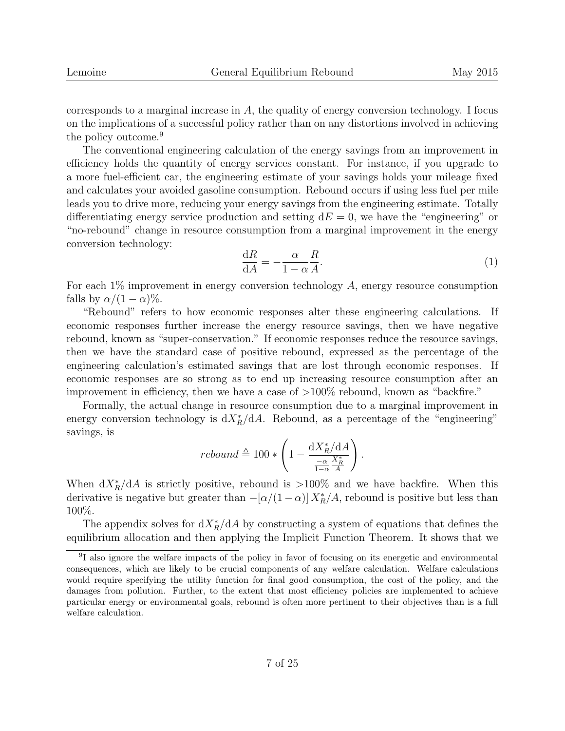corresponds to a marginal increase in  $A$ , the quality of energy conversion technology. I focus on the implications of a successful policy rather than on any distortions involved in achieving the policy outcome.<sup>9</sup>

The conventional engineering calculation of the energy savings from an improvement in efficiency holds the quantity of energy services constant. For instance, if you upgrade to a more fuel-efficient car, the engineering estimate of your savings holds your mileage fixed and calculates your avoided gasoline consumption. Rebound occurs if using less fuel per mile leads you to drive more, reducing your energy savings from the engineering estimate. Totally differentiating energy service production and setting  $dE = 0$ , we have the "engineering" or "no-rebound" change in resource consumption from a marginal improvement in the energy conversion technology:

$$
\frac{\mathrm{d}R}{\mathrm{d}A} = -\frac{\alpha}{1-\alpha}\frac{R}{A}.\tag{1}
$$

For each  $1\%$  improvement in energy conversion technology  $A$ , energy resource consumption falls by  $\alpha/(1-\alpha)\%$ .

"Rebound" refers to how economic responses alter these engineering calculations. If economic responses further increase the energy resource savings, then we have negative rebound, known as "super-conservation." If economic responses reduce the resource savings, then we have the standard case of positive rebound, expressed as the percentage of the engineering calculation's estimated savings that are lost through economic responses. If economic responses are so strong as to end up increasing resource consumption after an improvement in efficiency, then we have a case of >100% rebound, known as "backfire."

Formally, the actual change in resource consumption due to a marginal improvement in energy conversion technology is  $dX_R^*/dA$ . Rebound, as a percentage of the "engineering" savings, is

$$
rebound \triangleq 100 * \left(1 - \frac{\mathrm{d}X_R^*/\mathrm{d}A}{\frac{-\alpha}{1-\alpha}\frac{X_R^*}{A}}\right).
$$

When  $dX_R^*/dA$  is strictly positive, rebound is >100% and we have backfire. When this derivative is negative but greater than  $-[\alpha/(1-\alpha)] X_R^*/A$ , rebound is positive but less than 100%.

The appendix solves for  $dX_R^*/dA$  by constructing a system of equations that defines the equilibrium allocation and then applying the Implicit Function Theorem. It shows that we

<sup>9</sup> I also ignore the welfare impacts of the policy in favor of focusing on its energetic and environmental consequences, which are likely to be crucial components of any welfare calculation. Welfare calculations would require specifying the utility function for final good consumption, the cost of the policy, and the damages from pollution. Further, to the extent that most efficiency policies are implemented to achieve particular energy or environmental goals, rebound is often more pertinent to their objectives than is a full welfare calculation.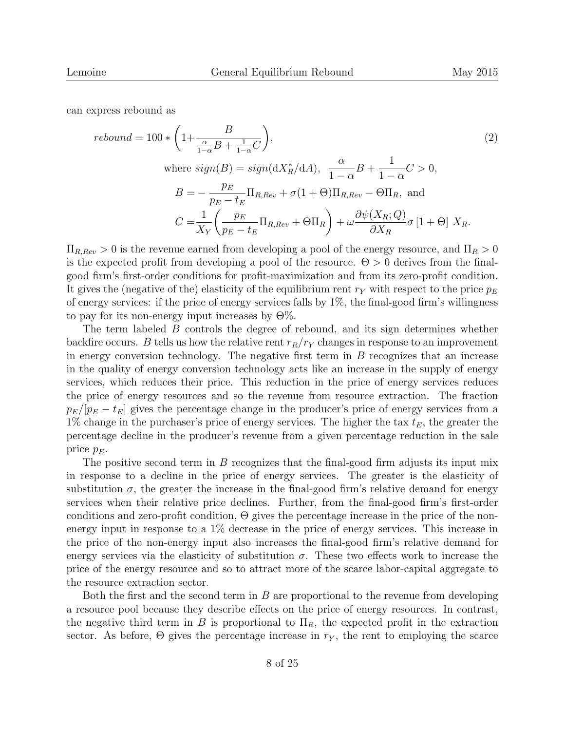can express rebound as

$$
rebound = 100 * \left(1 + \frac{B}{\frac{\alpha}{1-\alpha}B + \frac{1}{1-\alpha}C}\right),
$$
\n
$$
\text{where } sign(B) = sign(\frac{dX_R^*}{dA}), \frac{\alpha}{1-\alpha}B + \frac{1}{1-\alpha}C > 0,
$$
\n
$$
B = -\frac{p_E}{p_E - t_E} \Pi_{R, Rev} + \sigma(1+\Theta) \Pi_{R, Rev} - \Theta \Pi_R, \text{ and}
$$
\n
$$
C = \frac{1}{X_Y} \left(\frac{p_E}{p_E - t_E} \Pi_{R, Rev} + \Theta \Pi_R\right) + \omega \frac{\partial \psi(X_R; Q)}{\partial X_R} \sigma \left[1 + \Theta\right] X_R.
$$
\n
$$
(2)
$$

 $\Pi_{R,Rev} > 0$  is the revenue earned from developing a pool of the energy resource, and  $\Pi_R > 0$ is the expected profit from developing a pool of the resource.  $\Theta > 0$  derives from the finalgood firm's first-order conditions for profit-maximization and from its zero-profit condition. It gives the (negative of the) elasticity of the equilibrium rent  $r_Y$  with respect to the price  $p_E$ of energy services: if the price of energy services falls by 1%, the final-good firm's willingness to pay for its non-energy input increases by  $\Theta\%$ .

The term labeled B controls the degree of rebound, and its sign determines whether backfire occurs. B tells us how the relative rent  $r_R/r_Y$  changes in response to an improvement in energy conversion technology. The negative first term in  $B$  recognizes that an increase in the quality of energy conversion technology acts like an increase in the supply of energy services, which reduces their price. This reduction in the price of energy services reduces the price of energy resources and so the revenue from resource extraction. The fraction  $p_E/|p_E - t_E|$  gives the percentage change in the producer's price of energy services from a  $1\%$  change in the purchaser's price of energy services. The higher the tax  $t_E$ , the greater the percentage decline in the producer's revenue from a given percentage reduction in the sale price  $p_E$ .

The positive second term in B recognizes that the final-good firm adjusts its input mix in response to a decline in the price of energy services. The greater is the elasticity of substitution  $\sigma$ , the greater the increase in the final-good firm's relative demand for energy services when their relative price declines. Further, from the final-good firm's first-order conditions and zero-profit condition,  $\Theta$  gives the percentage increase in the price of the nonenergy input in response to a 1% decrease in the price of energy services. This increase in the price of the non-energy input also increases the final-good firm's relative demand for energy services via the elasticity of substitution  $\sigma$ . These two effects work to increase the price of the energy resource and so to attract more of the scarce labor-capital aggregate to the resource extraction sector.

Both the first and the second term in  $B$  are proportional to the revenue from developing a resource pool because they describe effects on the price of energy resources. In contrast, the negative third term in B is proportional to  $\Pi_R$ , the expected profit in the extraction sector. As before,  $\Theta$  gives the percentage increase in  $r_Y$ , the rent to employing the scarce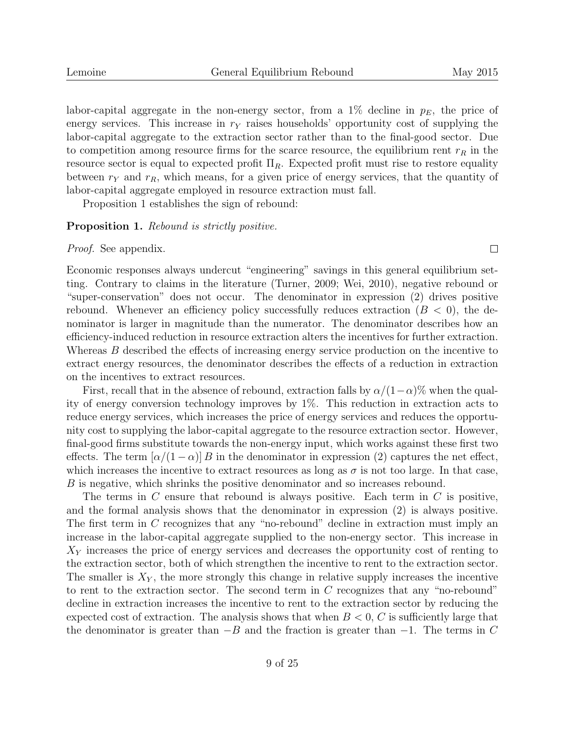$\Box$ 

labor-capital aggregate in the non-energy sector, from a  $1\%$  decline in  $p_E$ , the price of energy services. This increase in  $r_Y$  raises households' opportunity cost of supplying the labor-capital aggregate to the extraction sector rather than to the final-good sector. Due to competition among resource firms for the scarce resource, the equilibrium rent  $r_R$  in the resource sector is equal to expected profit  $\Pi_R$ . Expected profit must rise to restore equality between  $r_Y$  and  $r_R$ , which means, for a given price of energy services, that the quantity of labor-capital aggregate employed in resource extraction must fall.

Proposition 1 establishes the sign of rebound:

#### **Proposition 1.** Rebound is strictly positive.

Proof. See appendix.

Economic responses always undercut "engineering" savings in this general equilibrium setting. Contrary to claims in the literature (Turner, 2009; Wei, 2010), negative rebound or "super-conservation" does not occur. The denominator in expression (2) drives positive rebound. Whenever an efficiency policy successfully reduces extraction  $(B < 0)$ , the denominator is larger in magnitude than the numerator. The denominator describes how an efficiency-induced reduction in resource extraction alters the incentives for further extraction. Whereas B described the effects of increasing energy service production on the incentive to extract energy resources, the denominator describes the effects of a reduction in extraction on the incentives to extract resources.

First, recall that in the absence of rebound, extraction falls by  $\alpha/(1-\alpha)\%$  when the quality of energy conversion technology improves by 1%. This reduction in extraction acts to reduce energy services, which increases the price of energy services and reduces the opportunity cost to supplying the labor-capital aggregate to the resource extraction sector. However, final-good firms substitute towards the non-energy input, which works against these first two effects. The term  $\left[\alpha/(1-\alpha)\right]B$  in the denominator in expression (2) captures the net effect, which increases the incentive to extract resources as long as  $\sigma$  is not too large. In that case, B is negative, which shrinks the positive denominator and so increases rebound.

The terms in  $C$  ensure that rebound is always positive. Each term in  $C$  is positive, and the formal analysis shows that the denominator in expression (2) is always positive. The first term in C recognizes that any "no-rebound" decline in extraction must imply an increase in the labor-capital aggregate supplied to the non-energy sector. This increase in  $X<sub>Y</sub>$  increases the price of energy services and decreases the opportunity cost of renting to the extraction sector, both of which strengthen the incentive to rent to the extraction sector. The smaller is  $X<sub>Y</sub>$ , the more strongly this change in relative supply increases the incentive to rent to the extraction sector. The second term in  $C$  recognizes that any "no-rebound" decline in extraction increases the incentive to rent to the extraction sector by reducing the expected cost of extraction. The analysis shows that when  $B < 0$ , C is sufficiently large that the denominator is greater than  $-B$  and the fraction is greater than  $-1$ . The terms in C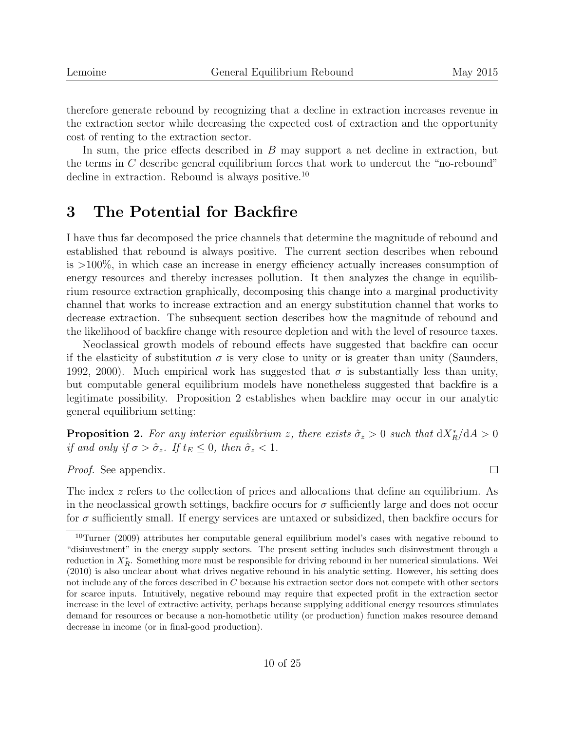$\Box$ 

therefore generate rebound by recognizing that a decline in extraction increases revenue in the extraction sector while decreasing the expected cost of extraction and the opportunity cost of renting to the extraction sector.

In sum, the price effects described in  $B$  may support a net decline in extraction, but the terms in C describe general equilibrium forces that work to undercut the "no-rebound" decline in extraction. Rebound is always positive.<sup>10</sup>

# 3 The Potential for Backfire

I have thus far decomposed the price channels that determine the magnitude of rebound and established that rebound is always positive. The current section describes when rebound is >100%, in which case an increase in energy efficiency actually increases consumption of energy resources and thereby increases pollution. It then analyzes the change in equilibrium resource extraction graphically, decomposing this change into a marginal productivity channel that works to increase extraction and an energy substitution channel that works to decrease extraction. The subsequent section describes how the magnitude of rebound and the likelihood of backfire change with resource depletion and with the level of resource taxes.

Neoclassical growth models of rebound effects have suggested that backfire can occur if the elasticity of substitution  $\sigma$  is very close to unity or is greater than unity (Saunders, 1992, 2000). Much empirical work has suggested that  $\sigma$  is substantially less than unity, but computable general equilibrium models have nonetheless suggested that backfire is a legitimate possibility. Proposition 2 establishes when backfire may occur in our analytic general equilibrium setting:

**Proposition 2.** For any interior equilibrium z, there exists  $\hat{\sigma}_z > 0$  such that  $dX_R^* / dA > 0$ if and only if  $\sigma > \hat{\sigma}_z$ . If  $t_E \leq 0$ , then  $\hat{\sigma}_z < 1$ .

Proof. See appendix.

The index z refers to the collection of prices and allocations that define an equilibrium. As in the neoclassical growth settings, backfire occurs for  $\sigma$  sufficiently large and does not occur for  $\sigma$  sufficiently small. If energy services are untaxed or subsidized, then backfire occurs for

<sup>&</sup>lt;sup>10</sup>Turner (2009) attributes her computable general equilibrium model's cases with negative rebound to "disinvestment" in the energy supply sectors. The present setting includes such disinvestment through a reduction in  $X_R^*$ . Something more must be responsible for driving rebound in her numerical simulations. Wei (2010) is also unclear about what drives negative rebound in his analytic setting. However, his setting does not include any of the forces described in C because his extraction sector does not compete with other sectors for scarce inputs. Intuitively, negative rebound may require that expected profit in the extraction sector increase in the level of extractive activity, perhaps because supplying additional energy resources stimulates demand for resources or because a non-homothetic utility (or production) function makes resource demand decrease in income (or in final-good production).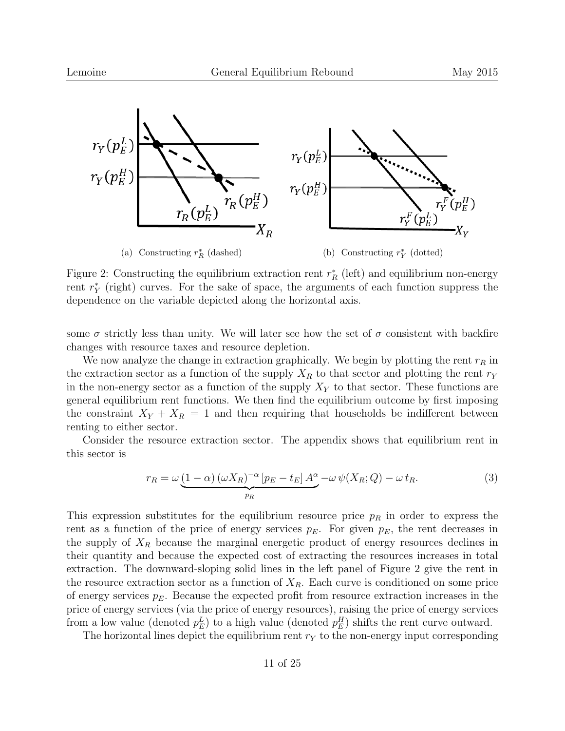

Figure 2: Constructing the equilibrium extraction rent  $r_R^*$  (left) and equilibrium non-energy rent  $r_Y^*$  (right) curves. For the sake of space, the arguments of each function suppress the dependence on the variable depicted along the horizontal axis.

some  $\sigma$  strictly less than unity. We will later see how the set of  $\sigma$  consistent with backfire changes with resource taxes and resource depletion.

We now analyze the change in extraction graphically. We begin by plotting the rent  $r_R$  in the extraction sector as a function of the supply  $X_R$  to that sector and plotting the rent  $r_Y$ in the non-energy sector as a function of the supply  $X<sub>Y</sub>$  to that sector. These functions are general equilibrium rent functions. We then find the equilibrium outcome by first imposing the constraint  $X_Y + X_R = 1$  and then requiring that households be indifferent between renting to either sector.

Consider the resource extraction sector. The appendix shows that equilibrium rent in this sector is

$$
r_R = \omega \underbrace{(1-\alpha) (\omega X_R)^{-\alpha} [p_E - t_E] A^{\alpha}}_{p_R} - \omega \psi(X_R; Q) - \omega t_R. \tag{3}
$$

This expression substitutes for the equilibrium resource price  $p<sub>R</sub>$  in order to express the rent as a function of the price of energy services  $p_E$ . For given  $p_E$ , the rent decreases in the supply of  $X_R$  because the marginal energetic product of energy resources declines in their quantity and because the expected cost of extracting the resources increases in total extraction. The downward-sloping solid lines in the left panel of Figure 2 give the rent in the resource extraction sector as a function of  $X_R$ . Each curve is conditioned on some price of energy services  $p_E$ . Because the expected profit from resource extraction increases in the price of energy services (via the price of energy resources), raising the price of energy services from a low value (denoted  $p_E^L$ ) to a high value (denoted  $p_E^H$ ) shifts the rent curve outward.

The horizontal lines depict the equilibrium rent  $r_Y$  to the non-energy input corresponding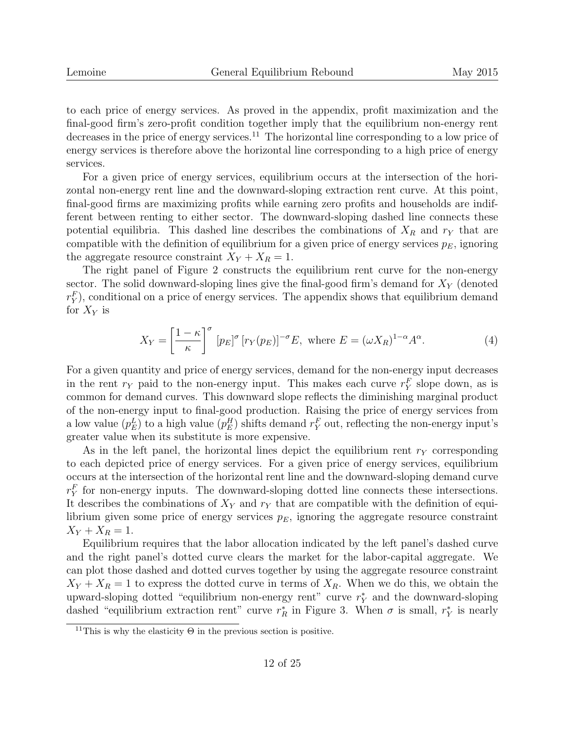to each price of energy services. As proved in the appendix, profit maximization and the final-good firm's zero-profit condition together imply that the equilibrium non-energy rent decreases in the price of energy services.<sup>11</sup> The horizontal line corresponding to a low price of energy services is therefore above the horizontal line corresponding to a high price of energy services.

For a given price of energy services, equilibrium occurs at the intersection of the horizontal non-energy rent line and the downward-sloping extraction rent curve. At this point, final-good firms are maximizing profits while earning zero profits and households are indifferent between renting to either sector. The downward-sloping dashed line connects these potential equilibria. This dashed line describes the combinations of  $X_R$  and  $r_Y$  that are compatible with the definition of equilibrium for a given price of energy services  $p_E$ , ignoring the aggregate resource constraint  $X_Y + X_R = 1$ .

The right panel of Figure 2 constructs the equilibrium rent curve for the non-energy sector. The solid downward-sloping lines give the final-good firm's demand for  $X<sub>Y</sub>$  (denoted  $r_Y^F$ ), conditional on a price of energy services. The appendix shows that equilibrium demand for  $X_Y$  is

$$
X_Y = \left[\frac{1-\kappa}{\kappa}\right]^\sigma [p_E]^\sigma [r_Y(p_E)]^{-\sigma} E, \text{ where } E = (\omega X_R)^{1-\alpha} A^\alpha. \tag{4}
$$

For a given quantity and price of energy services, demand for the non-energy input decreases in the rent  $r_Y$  paid to the non-energy input. This makes each curve  $r_Y^F$  slope down, as is common for demand curves. This downward slope reflects the diminishing marginal product of the non-energy input to final-good production. Raising the price of energy services from a low value  $(p_E^L)$  to a high value  $(p_E^H)$  shifts demand  $r_Y^F$  out, reflecting the non-energy input's greater value when its substitute is more expensive.

As in the left panel, the horizontal lines depict the equilibrium rent  $r_Y$  corresponding to each depicted price of energy services. For a given price of energy services, equilibrium occurs at the intersection of the horizontal rent line and the downward-sloping demand curve  $r_Y^F$  for non-energy inputs. The downward-sloping dotted line connects these intersections. It describes the combinations of  $X_Y$  and  $r_Y$  that are compatible with the definition of equilibrium given some price of energy services  $p_E$ , ignoring the aggregate resource constraint  $X_Y + X_R = 1.$ 

Equilibrium requires that the labor allocation indicated by the left panel's dashed curve and the right panel's dotted curve clears the market for the labor-capital aggregate. We can plot those dashed and dotted curves together by using the aggregate resource constraint  $X_Y + X_R = 1$  to express the dotted curve in terms of  $X_R$ . When we do this, we obtain the upward-sloping dotted "equilibrium non-energy rent" curve  $r_Y^*$  and the downward-sloping dashed "equilibrium extraction rent" curve  $r_R^*$  in Figure 3. When  $\sigma$  is small,  $r_Y^*$  is nearly

<sup>&</sup>lt;sup>11</sup>This is why the elasticity  $\Theta$  in the previous section is positive.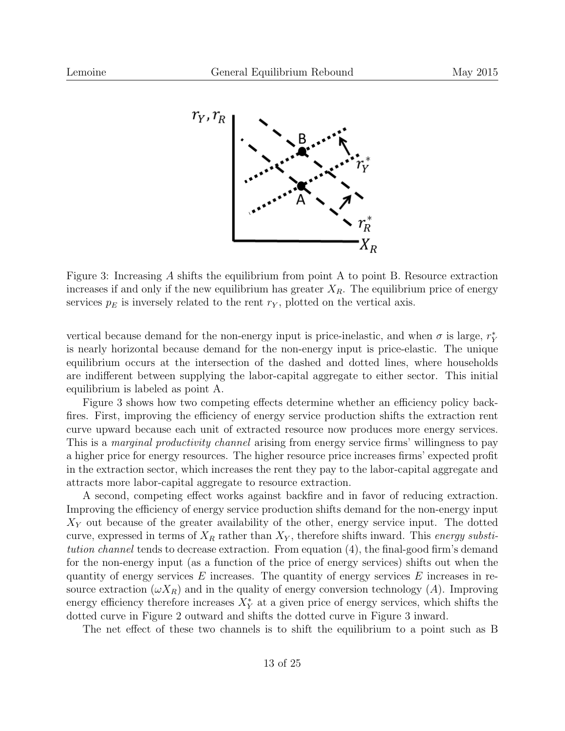

Figure 3: Increasing A shifts the equilibrium from point A to point B. Resource extraction increases if and only if the new equilibrium has greater  $X_R$ . The equilibrium price of energy services  $p_E$  is inversely related to the rent  $r_Y$ , plotted on the vertical axis.

vertical because demand for the non-energy input is price-inelastic, and when  $\sigma$  is large,  $r_Y^*$ is nearly horizontal because demand for the non-energy input is price-elastic. The unique equilibrium occurs at the intersection of the dashed and dotted lines, where households are indifferent between supplying the labor-capital aggregate to either sector. This initial equilibrium is labeled as point A.

Figure 3 shows how two competing effects determine whether an efficiency policy backfires. First, improving the efficiency of energy service production shifts the extraction rent curve upward because each unit of extracted resource now produces more energy services. This is a *marginal productivity channel* arising from energy service firms' willingness to pay a higher price for energy resources. The higher resource price increases firms' expected profit in the extraction sector, which increases the rent they pay to the labor-capital aggregate and attracts more labor-capital aggregate to resource extraction.

A second, competing effect works against backfire and in favor of reducing extraction. Improving the efficiency of energy service production shifts demand for the non-energy input  $X<sub>Y</sub>$  out because of the greater availability of the other, energy service input. The dotted curve, expressed in terms of  $X_R$  rather than  $X_Y$ , therefore shifts inward. This energy substitution channel tends to decrease extraction. From equation (4), the final-good firm's demand for the non-energy input (as a function of the price of energy services) shifts out when the quantity of energy services  $E$  increases. The quantity of energy services  $E$  increases in resource extraction  $(\omega X_R)$  and in the quality of energy conversion technology (A). Improving energy efficiency therefore increases  $X^*_{Y}$  at a given price of energy services, which shifts the dotted curve in Figure 2 outward and shifts the dotted curve in Figure 3 inward.

The net effect of these two channels is to shift the equilibrium to a point such as B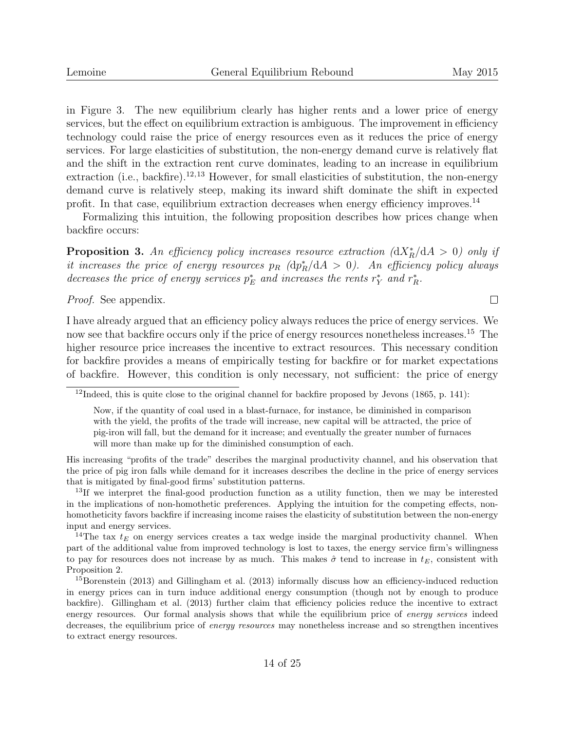$\Box$ 

in Figure 3. The new equilibrium clearly has higher rents and a lower price of energy services, but the effect on equilibrium extraction is ambiguous. The improvement in efficiency technology could raise the price of energy resources even as it reduces the price of energy services. For large elasticities of substitution, the non-energy demand curve is relatively flat and the shift in the extraction rent curve dominates, leading to an increase in equilibrium extraction (i.e., backfire).<sup>12,13</sup> However, for small elasticities of substitution, the non-energy demand curve is relatively steep, making its inward shift dominate the shift in expected profit. In that case, equilibrium extraction decreases when energy efficiency improves.<sup>14</sup>

Formalizing this intuition, the following proposition describes how prices change when backfire occurs:

**Proposition 3.** An efficiency policy increases resource extraction  $\left(\frac{dX_R^*}{dA} > 0\right)$  only if it increases the price of energy resources  $p_R$  (d $p_R^*/dA > 0$ ). An efficiency policy always decreases the price of energy services  $p_E^*$  and increases the rents  $r_Y^*$  and  $r_R^*$ .

Proof. See appendix.

I have already argued that an efficiency policy always reduces the price of energy services. We now see that backfire occurs only if the price of energy resources nonetheless increases.<sup>15</sup> The higher resource price increases the incentive to extract resources. This necessary condition for backfire provides a means of empirically testing for backfire or for market expectations of backfire. However, this condition is only necessary, not sufficient: the price of energy

His increasing "profits of the trade" describes the marginal productivity channel, and his observation that the price of pig iron falls while demand for it increases describes the decline in the price of energy services that is mitigated by final-good firms' substitution patterns.

<sup>13</sup>If we interpret the final-good production function as a utility function, then we may be interested in the implications of non-homothetic preferences. Applying the intuition for the competing effects, nonhomotheticity favors backfire if increasing income raises the elasticity of substitution between the non-energy input and energy services.

<sup>14</sup>The tax  $t_E$  on energy services creates a tax wedge inside the marginal productivity channel. When part of the additional value from improved technology is lost to taxes, the energy service firm's willingness to pay for resources does not increase by as much. This makes  $\hat{\sigma}$  tend to increase in  $t_E$ , consistent with Proposition 2.

<sup>15</sup>Borenstein (2013) and Gillingham et al. (2013) informally discuss how an efficiency-induced reduction in energy prices can in turn induce additional energy consumption (though not by enough to produce backfire). Gillingham et al. (2013) further claim that efficiency policies reduce the incentive to extract energy resources. Our formal analysis shows that while the equilibrium price of energy services indeed decreases, the equilibrium price of *energy resources* may nonetheless increase and so strengthen incentives to extract energy resources.

 $12$ Indeed, this is quite close to the original channel for backfire proposed by Jevons (1865, p. 141):

Now, if the quantity of coal used in a blast-furnace, for instance, be diminished in comparison with the yield, the profits of the trade will increase, new capital will be attracted, the price of pig-iron will fall, but the demand for it increase; and eventually the greater number of furnaces will more than make up for the diminished consumption of each.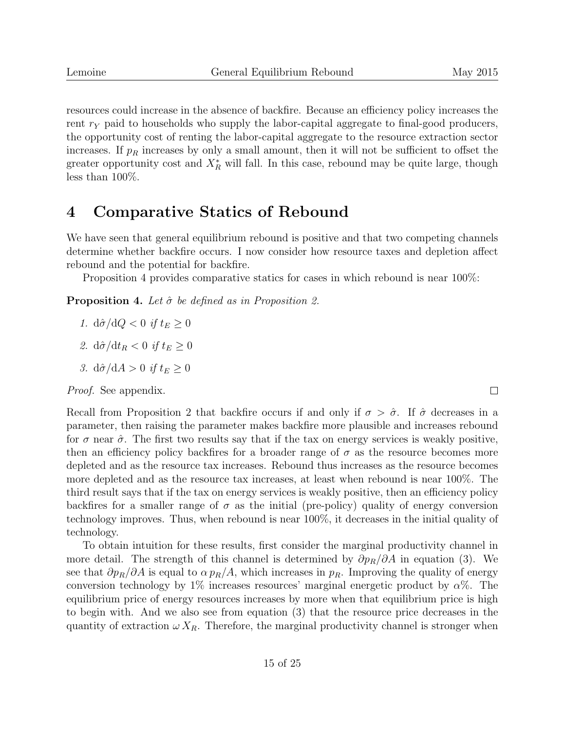resources could increase in the absence of backfire. Because an efficiency policy increases the rent  $r_Y$  paid to households who supply the labor-capital aggregate to final-good producers, the opportunity cost of renting the labor-capital aggregate to the resource extraction sector increases. If  $p_R$  increases by only a small amount, then it will not be sufficient to offset the greater opportunity cost and  $X_R^*$  will fall. In this case, rebound may be quite large, though less than 100%.

### 4 Comparative Statics of Rebound

We have seen that general equilibrium rebound is positive and that two competing channels determine whether backfire occurs. I now consider how resource taxes and depletion affect rebound and the potential for backfire.

Proposition 4 provides comparative statics for cases in which rebound is near 100%:

**Proposition 4.** Let  $\hat{\sigma}$  be defined as in Proposition 2.

- 1.  $d\hat{\sigma}/dQ < 0$  if  $t_E \geq 0$
- 2.  $d\hat{\sigma}/dt_R < 0$  if  $t_E > 0$
- 3.  $d\hat{\sigma}/dA > 0$  if  $t_E \geq 0$

*Proof.* See appendix.

Recall from Proposition 2 that backfire occurs if and only if  $\sigma > \hat{\sigma}$ . If  $\hat{\sigma}$  decreases in a parameter, then raising the parameter makes backfire more plausible and increases rebound for  $\sigma$  near  $\hat{\sigma}$ . The first two results say that if the tax on energy services is weakly positive, then an efficiency policy backfires for a broader range of  $\sigma$  as the resource becomes more depleted and as the resource tax increases. Rebound thus increases as the resource becomes more depleted and as the resource tax increases, at least when rebound is near 100%. The third result says that if the tax on energy services is weakly positive, then an efficiency policy backfires for a smaller range of  $\sigma$  as the initial (pre-policy) quality of energy conversion technology improves. Thus, when rebound is near 100%, it decreases in the initial quality of technology.

To obtain intuition for these results, first consider the marginal productivity channel in more detail. The strength of this channel is determined by  $\partial p_R/\partial A$  in equation (3). We see that  $\partial p_R/\partial A$  is equal to  $\alpha p_R/A$ , which increases in  $p_R$ . Improving the quality of energy conversion technology by 1% increases resources' marginal energetic product by  $\alpha$ %. The equilibrium price of energy resources increases by more when that equilibrium price is high to begin with. And we also see from equation (3) that the resource price decreases in the quantity of extraction  $\omega X_R$ . Therefore, the marginal productivity channel is stronger when

 $\Box$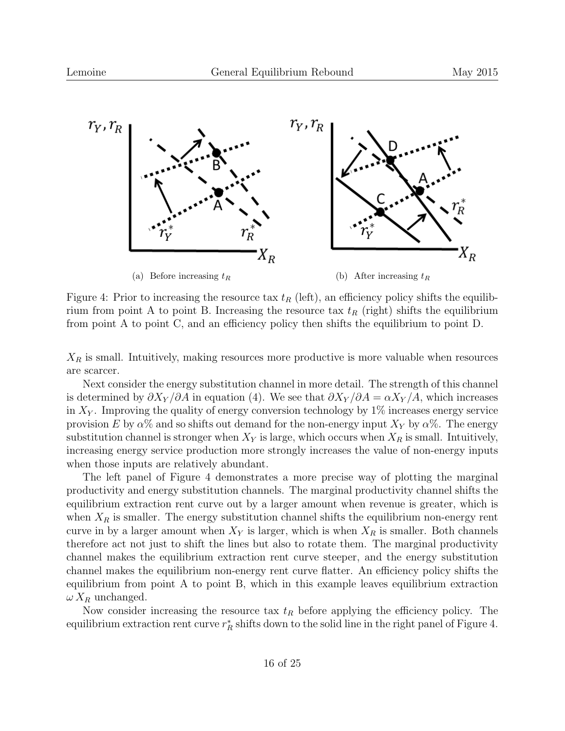

Figure 4: Prior to increasing the resource tax  $t_R$  (left), an efficiency policy shifts the equilibrium from point A to point B. Increasing the resource tax  $t_R$  (right) shifts the equilibrium from point A to point C, and an efficiency policy then shifts the equilibrium to point D.

 $X_R$  is small. Intuitively, making resources more productive is more valuable when resources are scarcer.

Next consider the energy substitution channel in more detail. The strength of this channel is determined by  $\partial X_Y/\partial A$  in equation (4). We see that  $\partial X_Y/\partial A = \alpha X_Y/A$ , which increases in  $X_Y$ . Improving the quality of energy conversion technology by 1% increases energy service provision E by  $\alpha$ % and so shifts out demand for the non-energy input  $X_Y$  by  $\alpha$ %. The energy substitution channel is stronger when  $X_Y$  is large, which occurs when  $X_R$  is small. Intuitively, increasing energy service production more strongly increases the value of non-energy inputs when those inputs are relatively abundant.

The left panel of Figure 4 demonstrates a more precise way of plotting the marginal productivity and energy substitution channels. The marginal productivity channel shifts the equilibrium extraction rent curve out by a larger amount when revenue is greater, which is when  $X_R$  is smaller. The energy substitution channel shifts the equilibrium non-energy rent curve in by a larger amount when  $X_Y$  is larger, which is when  $X_R$  is smaller. Both channels therefore act not just to shift the lines but also to rotate them. The marginal productivity channel makes the equilibrium extraction rent curve steeper, and the energy substitution channel makes the equilibrium non-energy rent curve flatter. An efficiency policy shifts the equilibrium from point A to point B, which in this example leaves equilibrium extraction  $\omega X_R$  unchanged.

Now consider increasing the resource tax  $t_R$  before applying the efficiency policy. The equilibrium extraction rent curve  $r_R^*$  shifts down to the solid line in the right panel of Figure 4.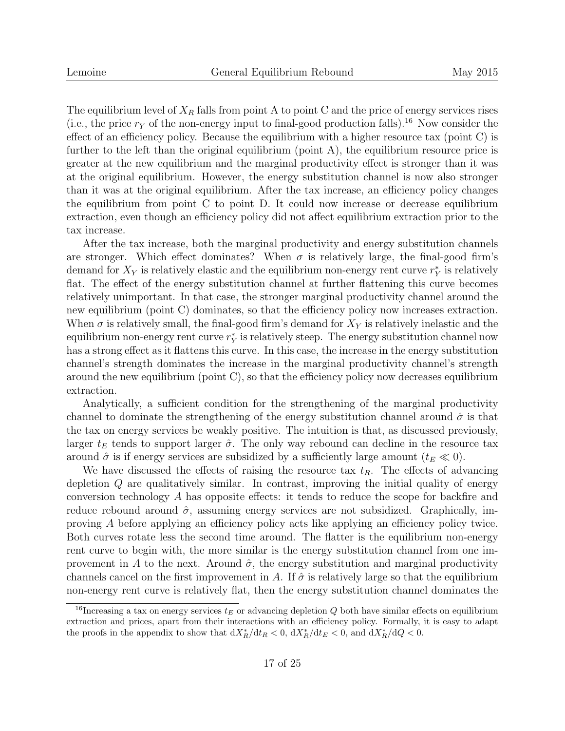The equilibrium level of  $X_R$  falls from point A to point C and the price of energy services rises (i.e., the price  $r_Y$  of the non-energy input to final-good production falls).<sup>16</sup> Now consider the effect of an efficiency policy. Because the equilibrium with a higher resource tax (point C) is further to the left than the original equilibrium (point A), the equilibrium resource price is greater at the new equilibrium and the marginal productivity effect is stronger than it was at the original equilibrium. However, the energy substitution channel is now also stronger than it was at the original equilibrium. After the tax increase, an efficiency policy changes the equilibrium from point C to point D. It could now increase or decrease equilibrium extraction, even though an efficiency policy did not affect equilibrium extraction prior to the tax increase.

After the tax increase, both the marginal productivity and energy substitution channels are stronger. Which effect dominates? When  $\sigma$  is relatively large, the final-good firm's demand for  $X_Y$  is relatively elastic and the equilibrium non-energy rent curve  $r_Y^*$  is relatively flat. The effect of the energy substitution channel at further flattening this curve becomes relatively unimportant. In that case, the stronger marginal productivity channel around the new equilibrium (point C) dominates, so that the efficiency policy now increases extraction. When  $\sigma$  is relatively small, the final-good firm's demand for  $X<sub>Y</sub>$  is relatively inelastic and the equilibrium non-energy rent curve  $r_Y^*$  is relatively steep. The energy substitution channel now has a strong effect as it flattens this curve. In this case, the increase in the energy substitution channel's strength dominates the increase in the marginal productivity channel's strength around the new equilibrium (point C), so that the efficiency policy now decreases equilibrium extraction.

Analytically, a sufficient condition for the strengthening of the marginal productivity channel to dominate the strengthening of the energy substitution channel around  $\hat{\sigma}$  is that the tax on energy services be weakly positive. The intuition is that, as discussed previously, larger  $t_E$  tends to support larger  $\hat{\sigma}$ . The only way rebound can decline in the resource tax around  $\hat{\sigma}$  is if energy services are subsidized by a sufficiently large amount  $(t_E \ll 0)$ .

We have discussed the effects of raising the resource tax  $t_R$ . The effects of advancing depletion Q are qualitatively similar. In contrast, improving the initial quality of energy conversion technology A has opposite effects: it tends to reduce the scope for backfire and reduce rebound around  $\hat{\sigma}$ , assuming energy services are not subsidized. Graphically, improving A before applying an efficiency policy acts like applying an efficiency policy twice. Both curves rotate less the second time around. The flatter is the equilibrium non-energy rent curve to begin with, the more similar is the energy substitution channel from one improvement in A to the next. Around  $\hat{\sigma}$ , the energy substitution and marginal productivity channels cancel on the first improvement in A. If  $\hat{\sigma}$  is relatively large so that the equilibrium non-energy rent curve is relatively flat, then the energy substitution channel dominates the

<sup>&</sup>lt;sup>16</sup>Increasing a tax on energy services  $t_E$  or advancing depletion Q both have similar effects on equilibrium extraction and prices, apart from their interactions with an efficiency policy. Formally, it is easy to adapt the proofs in the appendix to show that  $dX_R^* / dt_R < 0$ ,  $dX_R^* / dt_E < 0$ , and  $dX_R^* / dQ < 0$ .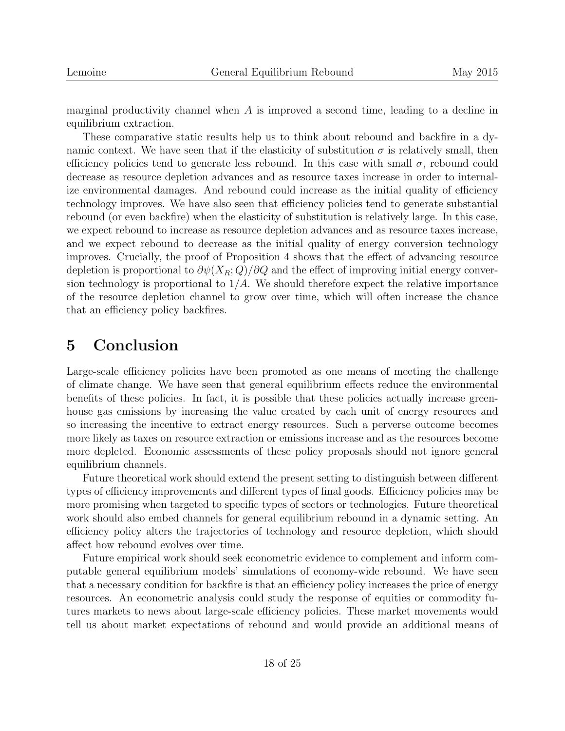marginal productivity channel when A is improved a second time, leading to a decline in equilibrium extraction.

These comparative static results help us to think about rebound and backfire in a dynamic context. We have seen that if the elasticity of substitution  $\sigma$  is relatively small, then efficiency policies tend to generate less rebound. In this case with small  $\sigma$ , rebound could decrease as resource depletion advances and as resource taxes increase in order to internalize environmental damages. And rebound could increase as the initial quality of efficiency technology improves. We have also seen that efficiency policies tend to generate substantial rebound (or even backfire) when the elasticity of substitution is relatively large. In this case, we expect rebound to increase as resource depletion advances and as resource taxes increase, and we expect rebound to decrease as the initial quality of energy conversion technology improves. Crucially, the proof of Proposition 4 shows that the effect of advancing resource depletion is proportional to  $\partial \psi(X_R; Q)/\partial Q$  and the effect of improving initial energy conversion technology is proportional to  $1/A$ . We should therefore expect the relative importance of the resource depletion channel to grow over time, which will often increase the chance that an efficiency policy backfires.

### 5 Conclusion

Large-scale efficiency policies have been promoted as one means of meeting the challenge of climate change. We have seen that general equilibrium effects reduce the environmental benefits of these policies. In fact, it is possible that these policies actually increase greenhouse gas emissions by increasing the value created by each unit of energy resources and so increasing the incentive to extract energy resources. Such a perverse outcome becomes more likely as taxes on resource extraction or emissions increase and as the resources become more depleted. Economic assessments of these policy proposals should not ignore general equilibrium channels.

Future theoretical work should extend the present setting to distinguish between different types of efficiency improvements and different types of final goods. Efficiency policies may be more promising when targeted to specific types of sectors or technologies. Future theoretical work should also embed channels for general equilibrium rebound in a dynamic setting. An efficiency policy alters the trajectories of technology and resource depletion, which should affect how rebound evolves over time.

Future empirical work should seek econometric evidence to complement and inform computable general equilibrium models' simulations of economy-wide rebound. We have seen that a necessary condition for backfire is that an efficiency policy increases the price of energy resources. An econometric analysis could study the response of equities or commodity futures markets to news about large-scale efficiency policies. These market movements would tell us about market expectations of rebound and would provide an additional means of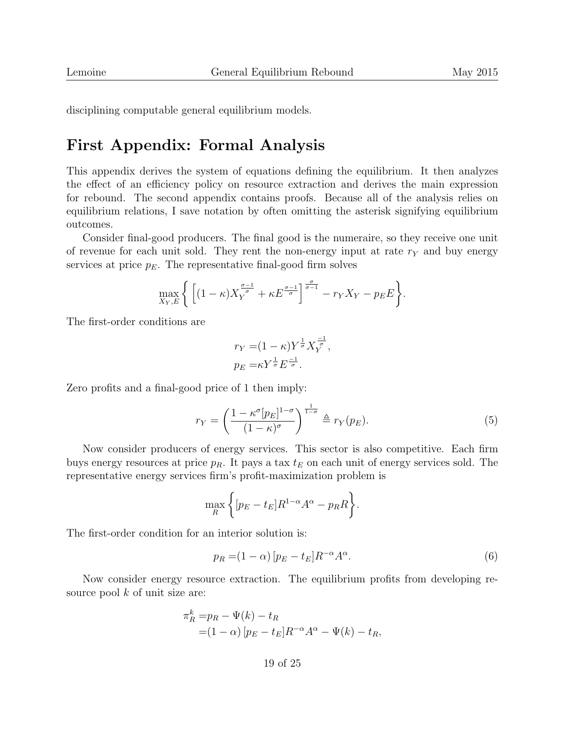disciplining computable general equilibrium models.

## First Appendix: Formal Analysis

This appendix derives the system of equations defining the equilibrium. It then analyzes the effect of an efficiency policy on resource extraction and derives the main expression for rebound. The second appendix contains proofs. Because all of the analysis relies on equilibrium relations, I save notation by often omitting the asterisk signifying equilibrium outcomes.

Consider final-good producers. The final good is the numeraire, so they receive one unit of revenue for each unit sold. They rent the non-energy input at rate  $r<sub>Y</sub>$  and buy energy services at price  $p_E$ . The representative final-good firm solves

$$
\max_{X_Y, E} \Bigg\{ \Big[ (1 - \kappa) X_Y^{\frac{\sigma - 1}{\sigma}} + \kappa E^{\frac{\sigma - 1}{\sigma}} \Big]^{\frac{\sigma}{\sigma - 1}} - r_Y X_Y - p_E E \Bigg\}.
$$

The first-order conditions are

$$
r_Y = (1 - \kappa) Y^{\frac{1}{\sigma}} X_Y^{\frac{-1}{\sigma}},
$$
  

$$
p_E = \kappa Y^{\frac{1}{\sigma}} E^{\frac{-1}{\sigma}}.
$$

Zero profits and a final-good price of 1 then imply:

$$
r_Y = \left(\frac{1 - \kappa^{\sigma} [p_E]^{1 - \sigma}}{(1 - \kappa)^{\sigma}}\right)^{\frac{1}{1 - \sigma}} \triangleq r_Y(p_E). \tag{5}
$$

Now consider producers of energy services. This sector is also competitive. Each firm buys energy resources at price  $p_R$ . It pays a tax  $t_E$  on each unit of energy services sold. The representative energy services firm's profit-maximization problem is

$$
\max_{R} \left\{ [p_E - t_E] R^{1-\alpha} A^{\alpha} - p_R R \right\}.
$$

The first-order condition for an interior solution is:

$$
p_R = (1 - \alpha) \left[ p_E - t_E \right] R^{-\alpha} A^{\alpha}.
$$
\n<sup>(6)</sup>

Now consider energy resource extraction. The equilibrium profits from developing resource pool  $k$  of unit size are:

$$
\pi_R^k = p_R - \Psi(k) - t_R
$$
  
=  $(1 - \alpha) [p_E - t_E] R^{-\alpha} A^{\alpha} - \Psi(k) - t_R$ ,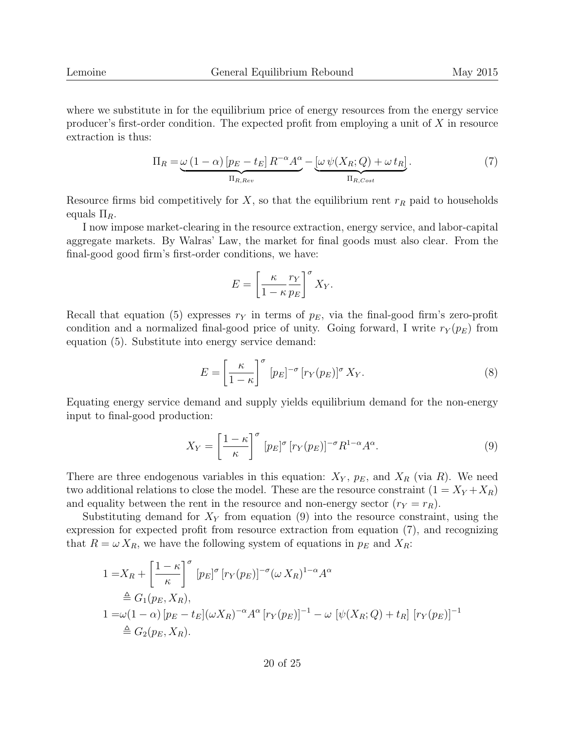where we substitute in for the equilibrium price of energy resources from the energy service producer's first-order condition. The expected profit from employing a unit of  $X$  in resource extraction is thus:

$$
\Pi_R = \underbrace{\omega (1 - \alpha) [p_E - t_E] R^{-\alpha} A^{\alpha}}_{\Pi_{R, Rev}} - \underbrace{[\omega \psi(X_R; Q) + \omega t_R]}_{\Pi_{R, Cost}}.
$$
\n(7)

Resource firms bid competitively for X, so that the equilibrium rent  $r_R$  paid to households equals  $\Pi_R$ .

I now impose market-clearing in the resource extraction, energy service, and labor-capital aggregate markets. By Walras' Law, the market for final goods must also clear. From the final-good good firm's first-order conditions, we have:

$$
E = \left[\frac{\kappa}{1 - \kappa} \frac{r_Y}{p_E}\right]^\sigma X_Y.
$$

Recall that equation (5) expresses  $r_Y$  in terms of  $p_E$ , via the final-good firm's zero-profit condition and a normalized final-good price of unity. Going forward, I write  $r_Y(p_E)$  from equation (5). Substitute into energy service demand:

$$
E = \left[\frac{\kappa}{1-\kappa}\right]^{\sigma} [p_E]^{-\sigma} [r_Y(p_E)]^{\sigma} X_Y.
$$
\n(8)

Equating energy service demand and supply yields equilibrium demand for the non-energy input to final-good production:

$$
X_Y = \left[\frac{1-\kappa}{\kappa}\right]^\sigma [p_E]^\sigma [r_Y(p_E)]^{-\sigma} R^{1-\alpha} A^\alpha. \tag{9}
$$

There are three endogenous variables in this equation:  $X_Y$ ,  $p_E$ , and  $X_R$  (via R). We need two additional relations to close the model. These are the resource constraint  $(1 = X_Y + X_R)$ and equality between the rent in the resource and non-energy sector  $(r_Y = r_R)$ .

Substituting demand for  $X<sub>Y</sub>$  from equation (9) into the resource constraint, using the expression for expected profit from resource extraction from equation (7), and recognizing that  $R = \omega X_R$ , we have the following system of equations in  $p_E$  and  $X_R$ :

$$
1 = X_R + \left[\frac{1 - \kappa}{\kappa}\right]^\sigma [p_E]^\sigma [r_Y(p_E)]^{-\sigma} (\omega X_R)^{1 - \alpha} A^{\alpha}
$$
  
\n
$$
\triangleq G_1(p_E, X_R),
$$
  
\n
$$
1 = \omega(1 - \alpha) [p_E - t_E] (\omega X_R)^{-\alpha} A^{\alpha} [r_Y(p_E)]^{-1} - \omega [\psi(X_R; Q) + t_R] [r_Y(p_E)]^{-1}
$$
  
\n
$$
\triangleq G_2(p_E, X_R).
$$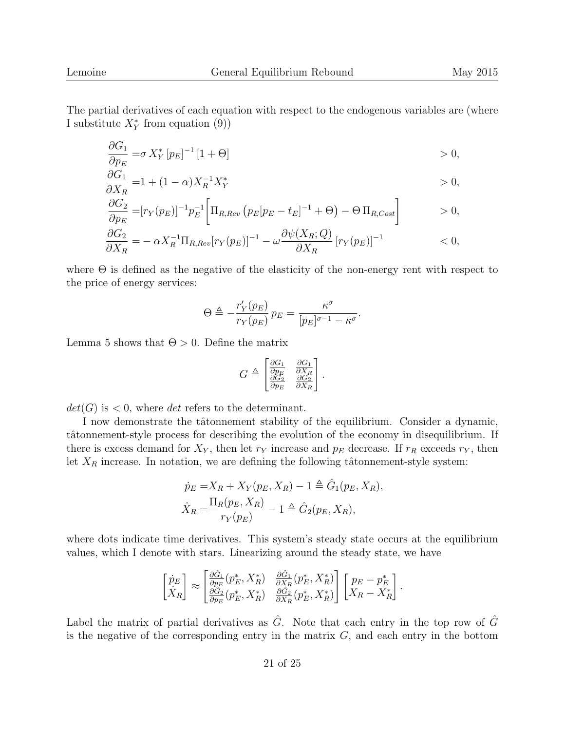The partial derivatives of each equation with respect to the endogenous variables are (where I substitute  $X^*$  from equation (9))

$$
\frac{\partial G_1}{\partial p_E} = \sigma X_Y^* [p_E]^{-1} [1 + \Theta] > 0,
$$

$$
\frac{\partial G_1}{\partial X_R} = 1 + (1 - \alpha) X_R^{-1} X_Y^* \qquad > 0,
$$

$$
\frac{\partial G_2}{\partial p_E} = [r_Y(p_E)]^{-1} p_E^{-1} \left[ \Pi_{R, Rev} \left( p_E [p_E - t_E]^{-1} + \Theta \right) - \Theta \Pi_{R, Cost} \right] > 0,
$$

$$
\frac{\partial G_2}{\partial X_R} = - \alpha X_R^{-1} \Pi_{R, Rev} [r_Y(p_E)]^{-1} - \omega \frac{\partial \psi(X_R; Q)}{\partial X_R} [r_Y(p_E)]^{-1} \qquad (0,
$$

where  $\Theta$  is defined as the negative of the elasticity of the non-energy rent with respect to the price of energy services:

$$
\Theta \triangleq -\frac{r'_Y(p_E)}{r_Y(p_E)} p_E = \frac{\kappa^{\sigma}}{[p_E]^{\sigma-1} - \kappa^{\sigma}}.
$$

Lemma 5 shows that  $\Theta > 0$ . Define the matrix

$$
G \triangleq \begin{bmatrix} \frac{\partial G_1}{\partial p_E} & \frac{\partial G_1}{\partial X_R} \\ \frac{\partial G_2}{\partial p_E} & \frac{\partial G_2}{\partial X_R} \end{bmatrix}.
$$

 $det(G)$  is  $\lt 0$ , where det refers to the determinant.

I now demonstrate the tâtonnement stability of the equilibrium. Consider a dynamic, tâtonnement-style process for describing the evolution of the economy in disequilibrium. If there is excess demand for  $X_Y$ , then let  $r_Y$  increase and  $p_E$  decrease. If  $r_R$  exceeds  $r_Y$ , then let  $X_R$  increase. In notation, we are defining the following tâtonnement-style system:

$$
\dot{p}_E = X_R + X_Y(p_E, X_R) - 1 \triangleq \hat{G}_1(p_E, X_R),
$$
  

$$
\dot{X}_R = \frac{\Pi_R(p_E, X_R)}{r_Y(p_E)} - 1 \triangleq \hat{G}_2(p_E, X_R),
$$

where dots indicate time derivatives. This system's steady state occurs at the equilibrium values, which I denote with stars. Linearizing around the steady state, we have

$$
\begin{bmatrix} \dot{p}_E \\ \dot{X}_R \end{bmatrix} \approx \begin{bmatrix} \frac{\partial \hat{G}_1}{\partial p_E} (p_E^*, X_R^*) & \frac{\partial \hat{G}_1}{\partial X_R} (p_E^*, X_R^*) \\ \frac{\partial \hat{G}_2}{\partial p_E} (p_E^*, X_R^*) & \frac{\partial \hat{G}_2}{\partial X_R} (p_E^*, X_R^*) \end{bmatrix} \begin{bmatrix} p_E - p_E^* \\ X_R - X_R^* \end{bmatrix}.
$$

Label the matrix of partial derivatives as  $\hat{G}$ . Note that each entry in the top row of  $\hat{G}$ is the negative of the corresponding entry in the matrix  $G$ , and each entry in the bottom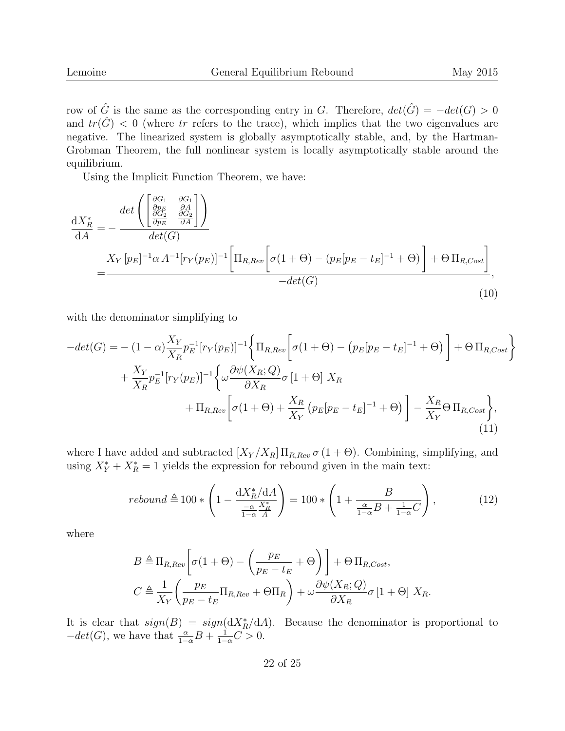row of  $\hat{G}$  is the same as the corresponding entry in G. Therefore,  $det(\hat{G}) = -det(G) > 0$ and  $tr(\hat{G}) < 0$  (where tr refers to the trace), which implies that the two eigenvalues are negative. The linearized system is globally asymptotically stable, and, by the Hartman-Grobman Theorem, the full nonlinear system is locally asymptotically stable around the equilibrium.

Using the Implicit Function Theorem, we have:

$$
\frac{dX_R^*}{dA} = -\frac{\det\left(\begin{bmatrix} \frac{\partial G_1}{\partial p_E} & \frac{\partial G_1}{\partial A} \\ \frac{\partial G_2}{\partial p_E} & \frac{\partial G_2}{\partial A} \end{bmatrix}\right)}{\det(G)}
$$
\n
$$
= \frac{X_Y \left[p_E\right]^{-1} \alpha A^{-1} \left[r_Y(p_E)\right]^{-1} \left[\Pi_{R, Rev} \left[\sigma(1+\Theta) - (p_E[p_E - t_E]^{-1} + \Theta)\right] + \Theta \Pi_{R, Cost}\right]}{-\det(G)},
$$
\n(10)

with the denominator simplifying to

$$
-det(G) = -(1-\alpha)\frac{X_Y}{X_R}p_E^{-1}[r_Y(p_E)]^{-1}\left\{\Pi_{R,Rev}\left[\sigma(1+\Theta) - (p_E[p_E - t_E]^{-1} + \Theta)\right] + \Theta \Pi_{R, Cost}\right\}
$$

$$
+\frac{X_Y}{X_R}p_E^{-1}[r_Y(p_E)]^{-1}\left\{\omega\frac{\partial\psi(X_R; Q)}{\partial X_R}\sigma[1+\Theta]X_R + \Pi_{R, Rev}\left[\sigma(1+\Theta) + \frac{X_R}{X_Y}\left(p_E[p_E - t_E]^{-1} + \Theta\right)\right] - \frac{X_R}{X_Y}\Theta \Pi_{R, Cost}\right\},\tag{11}
$$

where I have added and subtracted  $[X_Y/X_R] \Pi_{R,Rev} \sigma (1 + \Theta)$ . Combining, simplifying, and using  $X^*_Y + X^*_R = 1$  yields the expression for rebound given in the main text:

$$
rebound \triangleq 100 * \left(1 - \frac{\mathrm{d}X_R^*/\mathrm{d}A}{\frac{-\alpha}{1-\alpha}\frac{X_R^*}{A}}\right) = 100 * \left(1 + \frac{B}{\frac{\alpha}{1-\alpha}B + \frac{1}{1-\alpha}C}\right),\tag{12}
$$

where

$$
B \triangleq \Pi_{R, Rev} \left[ \sigma(1 + \Theta) - \left( \frac{p_E}{p_E - t_E} + \Theta \right) \right] + \Theta \Pi_{R, Cost},
$$
  

$$
C \triangleq \frac{1}{X_Y} \left( \frac{p_E}{p_E - t_E} \Pi_{R, Rev} + \Theta \Pi_R \right) + \omega \frac{\partial \psi(X_R; Q)}{\partial X_R} \sigma [1 + \Theta] X_R.
$$

It is clear that  $sign(B) = sign(dX_R^*/dA)$ . Because the denominator is proportional to  $-\det(G)$ , we have that  $\frac{\alpha}{1-\alpha}B + \frac{1}{1-\alpha}C > 0$ .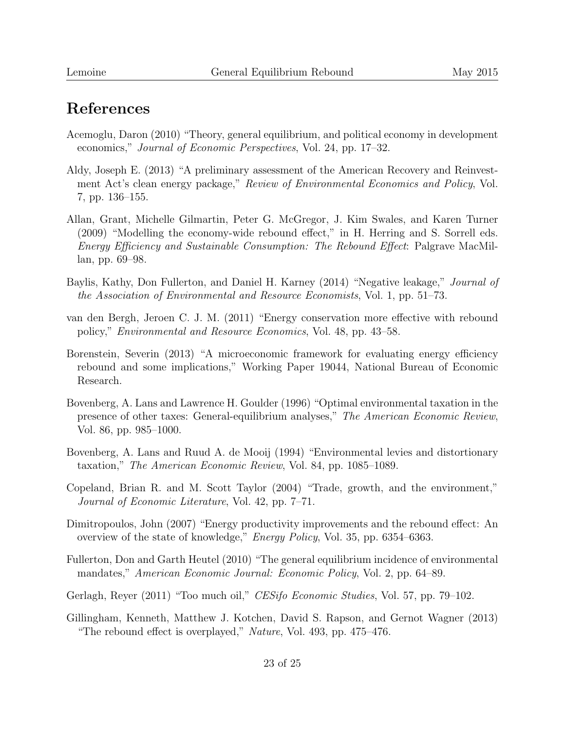# References

- Acemoglu, Daron (2010) "Theory, general equilibrium, and political economy in development economics," Journal of Economic Perspectives, Vol. 24, pp. 17–32.
- Aldy, Joseph E. (2013) "A preliminary assessment of the American Recovery and Reinvestment Act's clean energy package," Review of Environmental Economics and Policy, Vol. 7, pp. 136–155.
- Allan, Grant, Michelle Gilmartin, Peter G. McGregor, J. Kim Swales, and Karen Turner (2009) "Modelling the economy-wide rebound effect," in H. Herring and S. Sorrell eds. Energy Efficiency and Sustainable Consumption: The Rebound Effect: Palgrave MacMillan, pp. 69–98.
- Baylis, Kathy, Don Fullerton, and Daniel H. Karney (2014) "Negative leakage," Journal of the Association of Environmental and Resource Economists, Vol. 1, pp. 51–73.
- van den Bergh, Jeroen C. J. M. (2011) "Energy conservation more effective with rebound policy," Environmental and Resource Economics, Vol. 48, pp. 43–58.
- Borenstein, Severin (2013) "A microeconomic framework for evaluating energy efficiency rebound and some implications," Working Paper 19044, National Bureau of Economic Research.
- Bovenberg, A. Lans and Lawrence H. Goulder (1996) "Optimal environmental taxation in the presence of other taxes: General-equilibrium analyses," The American Economic Review, Vol. 86, pp. 985–1000.
- Bovenberg, A. Lans and Ruud A. de Mooij (1994) "Environmental levies and distortionary taxation," The American Economic Review, Vol. 84, pp. 1085–1089.
- Copeland, Brian R. and M. Scott Taylor (2004) "Trade, growth, and the environment," Journal of Economic Literature, Vol. 42, pp. 7–71.
- Dimitropoulos, John (2007) "Energy productivity improvements and the rebound effect: An overview of the state of knowledge," Energy Policy, Vol. 35, pp. 6354–6363.
- Fullerton, Don and Garth Heutel (2010) "The general equilibrium incidence of environmental mandates," American Economic Journal: Economic Policy, Vol. 2, pp. 64–89.
- Gerlagh, Reyer (2011) "Too much oil," *CESifo Economic Studies*, Vol. 57, pp. 79–102.
- Gillingham, Kenneth, Matthew J. Kotchen, David S. Rapson, and Gernot Wagner (2013) "The rebound effect is overplayed," Nature, Vol. 493, pp. 475–476.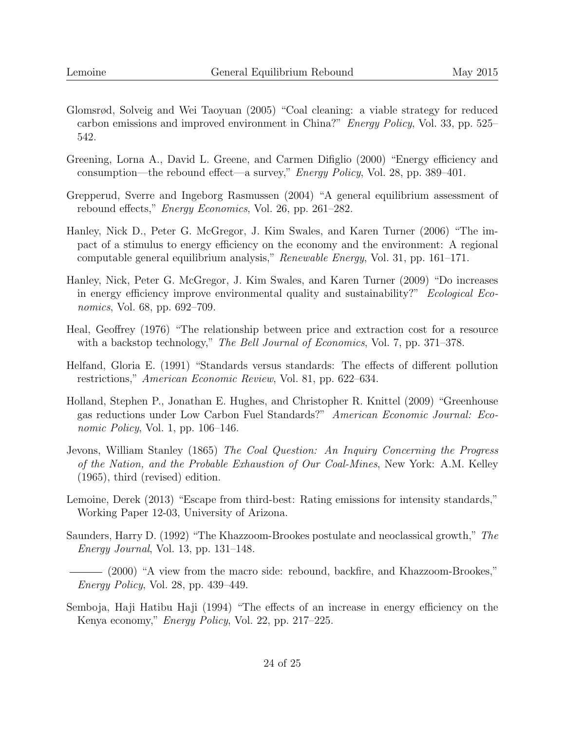- Glomsrød, Solveig and Wei Taoyuan (2005) "Coal cleaning: a viable strategy for reduced carbon emissions and improved environment in China?" Energy Policy, Vol. 33, pp. 525– 542.
- Greening, Lorna A., David L. Greene, and Carmen Difiglio (2000) "Energy efficiency and consumption—the rebound effect—a survey," Energy Policy, Vol. 28, pp. 389–401.
- Grepperud, Sverre and Ingeborg Rasmussen (2004) "A general equilibrium assessment of rebound effects," Energy Economics, Vol. 26, pp. 261–282.
- Hanley, Nick D., Peter G. McGregor, J. Kim Swales, and Karen Turner (2006) "The impact of a stimulus to energy efficiency on the economy and the environment: A regional computable general equilibrium analysis," Renewable Energy, Vol. 31, pp. 161–171.
- Hanley, Nick, Peter G. McGregor, J. Kim Swales, and Karen Turner (2009) "Do increases in energy efficiency improve environmental quality and sustainability?" Ecological Economics, Vol. 68, pp. 692–709.
- Heal, Geoffrey (1976) "The relationship between price and extraction cost for a resource with a backstop technology," The Bell Journal of Economics, Vol. 7, pp. 371–378.
- Helfand, Gloria E. (1991) "Standards versus standards: The effects of different pollution restrictions," American Economic Review, Vol. 81, pp. 622–634.
- Holland, Stephen P., Jonathan E. Hughes, and Christopher R. Knittel (2009) "Greenhouse gas reductions under Low Carbon Fuel Standards?" American Economic Journal: Economic Policy, Vol. 1, pp. 106–146.
- Jevons, William Stanley (1865) The Coal Question: An Inquiry Concerning the Progress of the Nation, and the Probable Exhaustion of Our Coal-Mines, New York: A.M. Kelley (1965), third (revised) edition.
- Lemoine, Derek (2013) "Escape from third-best: Rating emissions for intensity standards," Working Paper 12-03, University of Arizona.
- Saunders, Harry D. (1992) "The Khazzoom-Brookes postulate and neoclassical growth," The Energy Journal, Vol. 13, pp. 131–148.
- (2000) "A view from the macro side: rebound, backfire, and Khazzoom-Brookes," Energy Policy, Vol. 28, pp. 439–449.
- Semboja, Haji Hatibu Haji (1994) "The effects of an increase in energy efficiency on the Kenya economy," Energy Policy, Vol. 22, pp. 217–225.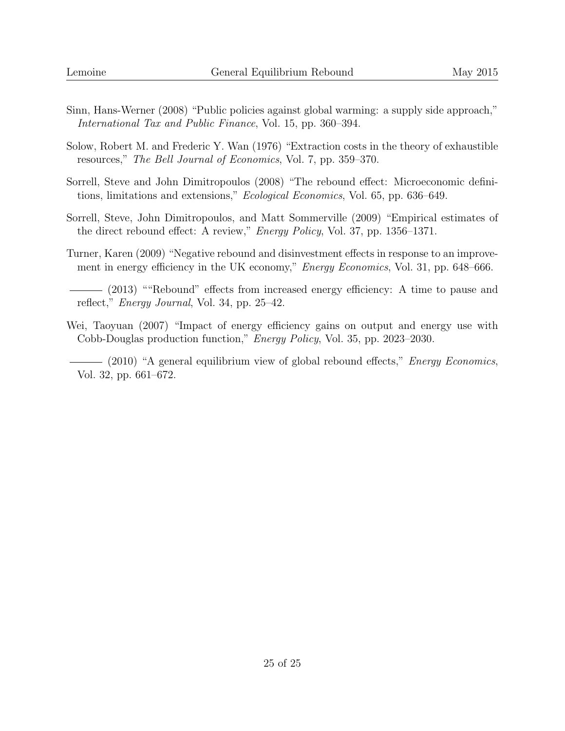- Sinn, Hans-Werner (2008) "Public policies against global warming: a supply side approach," International Tax and Public Finance, Vol. 15, pp. 360–394.
- Solow, Robert M. and Frederic Y. Wan (1976) "Extraction costs in the theory of exhaustible resources," The Bell Journal of Economics, Vol. 7, pp. 359–370.
- Sorrell, Steve and John Dimitropoulos (2008) "The rebound effect: Microeconomic definitions, limitations and extensions," Ecological Economics, Vol. 65, pp. 636–649.
- Sorrell, Steve, John Dimitropoulos, and Matt Sommerville (2009) "Empirical estimates of the direct rebound effect: A review," Energy Policy, Vol. 37, pp. 1356–1371.
- Turner, Karen (2009) "Negative rebound and disinvestment effects in response to an improvement in energy efficiency in the UK economy," *Energy Economics*, Vol. 31, pp. 648–666.
- (2013) ""Rebound" effects from increased energy efficiency: A time to pause and reflect," Energy Journal, Vol. 34, pp. 25–42.
- Wei, Taoyuan (2007) "Impact of energy efficiency gains on output and energy use with Cobb-Douglas production function," Energy Policy, Vol. 35, pp. 2023–2030.
	- $(2010)$  "A general equilibrium view of global rebound effects," *Energy Economics*, Vol. 32, pp. 661–672.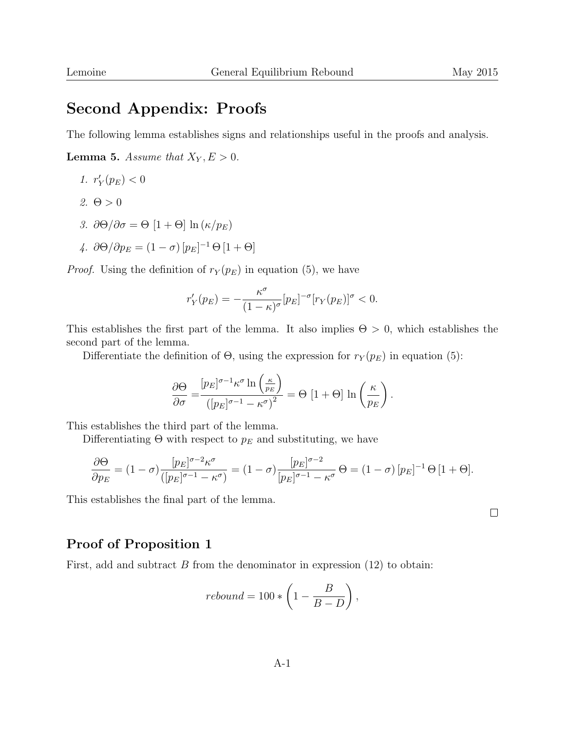### Second Appendix: Proofs

The following lemma establishes signs and relationships useful in the proofs and analysis.

**Lemma 5.** Assume that  $X_Y, E > 0$ .

- 1.  $r'_Y(p_E) < 0$
- 2.  $\Theta > 0$
- 3.  $\partial \Theta / \partial \sigma = \Theta \left[ 1 + \Theta \right] \ln \left( \frac{\kappa}{p_E} \right)$
- 4.  $\partial \Theta / \partial p_E = (1 \sigma) [p_E]^{-1} \Theta [1 + \Theta]$

*Proof.* Using the definition of  $r_Y(p_E)$  in equation (5), we have

$$
r'_Y(p_E) = -\frac{\kappa^{\sigma}}{(1-\kappa)^{\sigma}}[p_E]^{-\sigma}[r_Y(p_E)]^{\sigma} < 0.
$$

This establishes the first part of the lemma. It also implies  $\Theta > 0$ , which establishes the second part of the lemma.

Differentiate the definition of  $\Theta$ , using the expression for  $r_Y(p_E)$  in equation (5):

$$
\frac{\partial \Theta}{\partial \sigma} = \frac{\left[p_E\right]^{\sigma - 1} \kappa^{\sigma} \ln\left(\frac{\kappa}{p_E}\right)}{\left(\left[p_E\right]^{\sigma - 1} - \kappa^{\sigma}\right)^2} = \Theta \left[1 + \Theta\right] \ln\left(\frac{\kappa}{p_E}\right).
$$

This establishes the third part of the lemma.

Differentiating  $\Theta$  with respect to  $p_E$  and substituting, we have

$$
\frac{\partial \Theta}{\partial p_E} = (1 - \sigma) \frac{[p_E]^{\sigma - 2} \kappa^{\sigma}}{([p_E]^{\sigma - 1} - \kappa^{\sigma})} = (1 - \sigma) \frac{[p_E]^{\sigma - 2}}{[p_E]^{\sigma - 1} - \kappa^{\sigma}} \Theta = (1 - \sigma) [p_E]^{-1} \Theta [1 + \Theta].
$$

This establishes the final part of the lemma.

 $\Box$ 

#### Proof of Proposition 1

First, add and subtract  $B$  from the denominator in expression  $(12)$  to obtain:

$$
rebound = 100 * \left(1 - \frac{B}{B - D}\right),
$$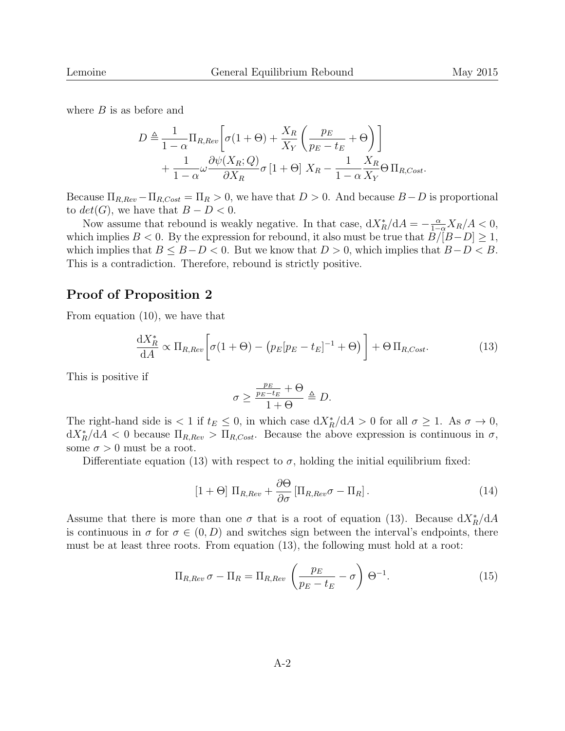where  $B$  is as before and

$$
D \triangleq \frac{1}{1-\alpha} \Pi_{R, Rev} \left[ \sigma(1+\Theta) + \frac{X_R}{X_Y} \left( \frac{p_E}{p_E - t_E} + \Theta \right) \right] + \frac{1}{1-\alpha} \omega \frac{\partial \psi(X_R; Q)}{\partial X_R} \sigma \left[ 1+\Theta \right] X_R - \frac{1}{1-\alpha} \frac{X_R}{X_Y} \Theta \Pi_{R, Cost}.
$$

Because  $\Pi_{R,Rev} - \Pi_{R, Cost} = \Pi_R > 0$ , we have that  $D > 0$ . And because  $B - D$  is proportional to  $det(G)$ , we have that  $B - D < 0$ .

Now assume that rebound is weakly negative. In that case,  $dX_R^*/dA = -\frac{\alpha}{1-\alpha}X_R/A < 0$ , which implies  $B < 0$ . By the expression for rebound, it also must be true that  $B/[B-D] \geq 1$ , which implies that  $B \leq B - D < 0$ . But we know that  $D > 0$ , which implies that  $B - D < B$ . This is a contradiction. Therefore, rebound is strictly positive.

#### Proof of Proposition 2

From equation (10), we have that

$$
\frac{\mathrm{d}X_R^*}{\mathrm{d}A} \propto \Pi_{R,Rev} \left[ \sigma(1 + \Theta) - \left( p_E [p_E - t_E]^{-1} + \Theta \right) \right] + \Theta \Pi_{R, Cost}.
$$
\n(13)

This is positive if

$$
\sigma \ge \frac{\frac{p_E}{p_E - t_E} + \Theta}{1 + \Theta} \triangleq D.
$$

The right-hand side is  $\langle 1 \text{ if } t_E \leq 0$ , in which case  $\frac{dX_R^*}{dA} > 0$  for all  $\sigma \geq 1$ . As  $\sigma \to 0$ ,  $dX_R^*/dA < 0$  because  $\Pi_{R,Rev} > \Pi_{R, Cost}$ . Because the above expression is continuous in  $\sigma$ , some  $\sigma > 0$  must be a root.

Differentiate equation (13) with respect to  $\sigma$ , holding the initial equilibrium fixed:

$$
[1 + \Theta] \Pi_{R, Rev} + \frac{\partial \Theta}{\partial \sigma} [\Pi_{R, Rev} \sigma - \Pi_R]. \qquad (14)
$$

Assume that there is more than one  $\sigma$  that is a root of equation (13). Because  $dX_R^*/dA$ is continuous in  $\sigma$  for  $\sigma \in (0, D)$  and switches sign between the interval's endpoints, there must be at least three roots. From equation (13), the following must hold at a root:

$$
\Pi_{R,Rev} \sigma - \Pi_R = \Pi_{R, Rev} \left( \frac{p_E}{p_E - t_E} - \sigma \right) \Theta^{-1}.
$$
\n(15)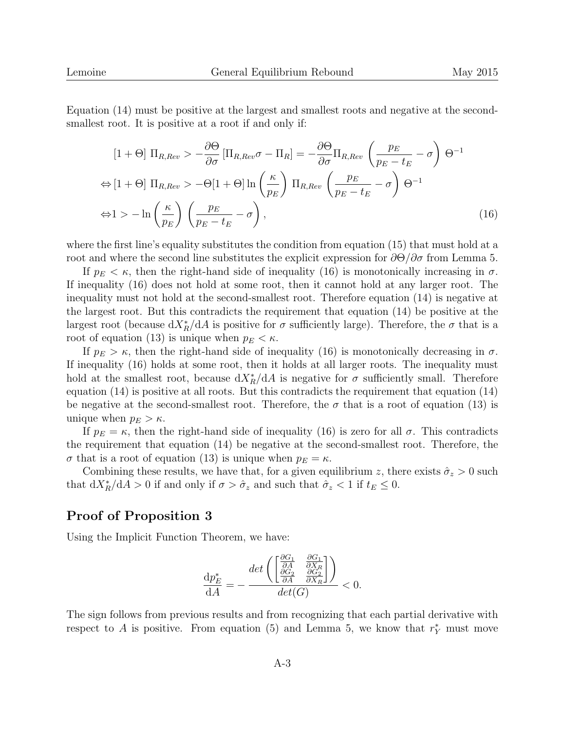Equation (14) must be positive at the largest and smallest roots and negative at the secondsmallest root. It is positive at a root if and only if:

$$
[1 + \Theta] \Pi_{R, Rev} > -\frac{\partial \Theta}{\partial \sigma} [\Pi_{R, Rev} \sigma - \Pi_R] = -\frac{\partial \Theta}{\partial \sigma} \Pi_{R, Rev} \left( \frac{p_E}{p_E - t_E} - \sigma \right) \Theta^{-1}
$$
  
\n
$$
\Leftrightarrow [1 + \Theta] \Pi_{R, Rev} > -\Theta[1 + \Theta] \ln \left( \frac{\kappa}{p_E} \right) \Pi_{R, Rev} \left( \frac{p_E}{p_E - t_E} - \sigma \right) \Theta^{-1}
$$
  
\n
$$
\Leftrightarrow 1 > -\ln \left( \frac{\kappa}{p_E} \right) \left( \frac{p_E}{p_E - t_E} - \sigma \right),
$$
\n(16)

where the first line's equality substitutes the condition from equation (15) that must hold at a root and where the second line substitutes the explicit expression for  $\partial\Theta/\partial\sigma$  from Lemma 5.

If  $p_E < \kappa$ , then the right-hand side of inequality (16) is monotonically increasing in  $\sigma$ . If inequality (16) does not hold at some root, then it cannot hold at any larger root. The inequality must not hold at the second-smallest root. Therefore equation (14) is negative at the largest root. But this contradicts the requirement that equation (14) be positive at the largest root (because  $dX_R^*/dA$  is positive for  $\sigma$  sufficiently large). Therefore, the  $\sigma$  that is a root of equation (13) is unique when  $p_E < \kappa$ .

If  $p_E > \kappa$ , then the right-hand side of inequality (16) is monotonically decreasing in  $\sigma$ . If inequality (16) holds at some root, then it holds at all larger roots. The inequality must hold at the smallest root, because  $dX_R^*/dA$  is negative for  $\sigma$  sufficiently small. Therefore equation (14) is positive at all roots. But this contradicts the requirement that equation (14) be negative at the second-smallest root. Therefore, the  $\sigma$  that is a root of equation (13) is unique when  $p_E > \kappa$ .

If  $p_E = \kappa$ , then the right-hand side of inequality (16) is zero for all  $\sigma$ . This contradicts the requirement that equation (14) be negative at the second-smallest root. Therefore, the  $\sigma$  that is a root of equation (13) is unique when  $p_E = \kappa$ .

Combining these results, we have that, for a given equilibrium z, there exists  $\hat{\sigma}_z > 0$  such that  $dX_R^*/dA > 0$  if and only if  $\sigma > \hat{\sigma}_z$  and such that  $\hat{\sigma}_z < 1$  if  $t_E \leq 0$ .

#### Proof of Proposition 3

Using the Implicit Function Theorem, we have:

$$
\frac{\mathrm{d}p_E^*}{\mathrm{d}A} = -\frac{\det\left(\begin{bmatrix} \frac{\partial G_1}{\partial A} & \frac{\partial G_1}{\partial X_R} \\ \frac{\partial G_2}{\partial A} & \frac{\partial G_2}{\partial X_R} \end{bmatrix}\right)}{\det(G)} < 0.
$$

The sign follows from previous results and from recognizing that each partial derivative with respect to A is positive. From equation (5) and Lemma 5, we know that  $r_Y^*$  must move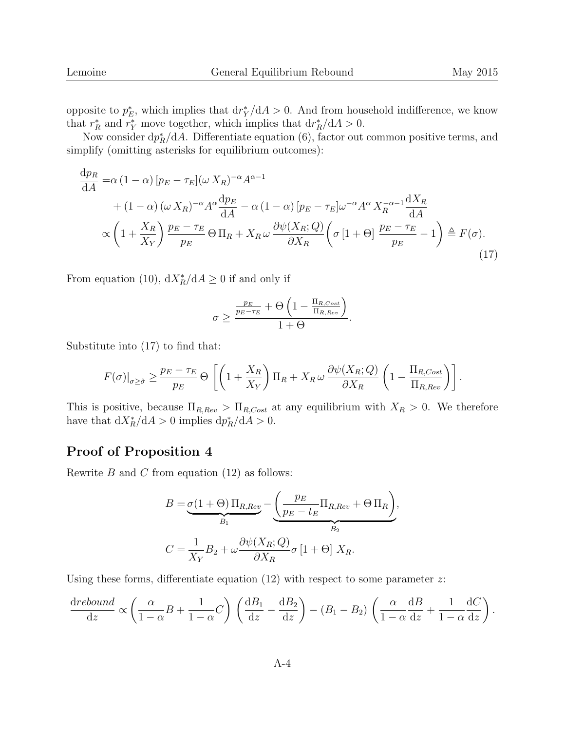opposite to  $p_E^*$ , which implies that  $\frac{dr_Y}{dA} > 0$ . And from household indifference, we know that  $r_R^*$  and  $r_Y^*$  move together, which implies that  $dr_R^*/dA > 0$ .

Now consider  $dp_R^*/dA$ . Differentiate equation (6), factor out common positive terms, and simplify (omitting asterisks for equilibrium outcomes):

$$
\frac{dp_R}{dA} = \alpha (1 - \alpha) [p_E - \tau_E] (\omega X_R)^{-\alpha} A^{\alpha - 1}
$$
  
+  $(1 - \alpha) (\omega X_R)^{-\alpha} A^{\alpha} \frac{dp_E}{dA} - \alpha (1 - \alpha) [p_E - \tau_E] \omega^{-\alpha} A^{\alpha} X_R^{-\alpha - 1} \frac{dX_R}{dA}$   
 $\propto \left(1 + \frac{X_R}{X_Y}\right) \frac{p_E - \tau_E}{p_E} \Theta \Pi_R + X_R \omega \frac{\partial \psi(X_R; Q)}{\partial X_R} \left(\sigma [1 + \Theta] \frac{p_E - \tau_E}{p_E} - 1\right) \triangleq F(\sigma).$  (17)

From equation (10),  $dX_R^*/dA \geq 0$  if and only if

$$
\sigma \ge \frac{\frac{p_E}{p_E - \tau_E} + \Theta \left( 1 - \frac{\Pi_{R,Cost}}{\Pi_{R,Rev}} \right)}{1 + \Theta}.
$$

Substitute into (17) to find that:

$$
F(\sigma)|_{\sigma \geq \hat{\sigma}} \geq \frac{p_E - \tau_E}{p_E} \Theta \left[ \left( 1 + \frac{X_R}{X_Y} \right) \Pi_R + X_R \omega \frac{\partial \psi(X_R; Q)}{\partial X_R} \left( 1 - \frac{\Pi_{R, Cost}}{\Pi_{R, Rev}} \right) \right].
$$

This is positive, because  $\Pi_{R,Rev} > \Pi_{R, Cost}$  at any equilibrium with  $X_R > 0$ . We therefore have that  $dX_R^*/dA > 0$  implies  $dp_R^*/dA > 0$ .

#### Proof of Proposition 4

Rewrite  $B$  and  $C$  from equation (12) as follows:

$$
B = \underbrace{\sigma(1+\Theta)\prod_{R, Rev}}_{B_1} - \underbrace{\left(\frac{p_E}{p_E - t_E}\prod_{R, Rev} + \Theta\prod_{R}\right)}_{B_2},
$$
  

$$
C = \frac{1}{X_Y}B_2 + \omega \frac{\partial \psi(X_R; Q)}{\partial X_R} \sigma [1+\Theta] X_R.
$$

Using these forms, differentiate equation  $(12)$  with respect to some parameter z:

$$
\frac{\mathrm{d} \text{rebound}}{\mathrm{d} z} \propto \left( \frac{\alpha}{1-\alpha} B + \frac{1}{1-\alpha} C \right) \left( \frac{\mathrm{d} B_1}{\mathrm{d} z} - \frac{\mathrm{d} B_2}{\mathrm{d} z} \right) - (B_1 - B_2) \left( \frac{\alpha}{1-\alpha} \frac{\mathrm{d} B}{\mathrm{d} z} + \frac{1}{1-\alpha} \frac{\mathrm{d} C}{\mathrm{d} z} \right).
$$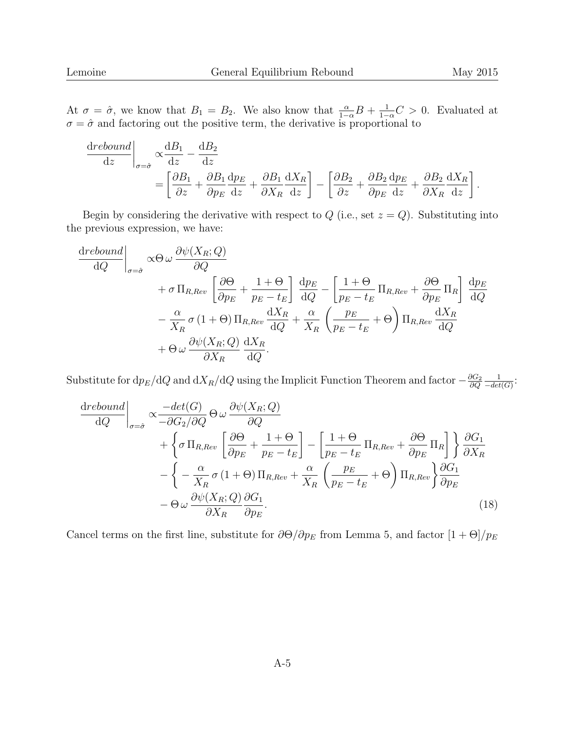At  $\sigma = \hat{\sigma}$ , we know that  $B_1 = B_2$ . We also know that  $\frac{\alpha}{1-\alpha}B + \frac{1}{1-\alpha}C > 0$ . Evaluated at  $\sigma = \hat{\sigma}$  and factoring out the positive term, the derivative is proportional to

$$
\frac{\mathrm{d}rebound}{\mathrm{d}z}\Big|_{\sigma=\hat{\sigma}} \propto \frac{\mathrm{d}B_1}{\mathrm{d}z} - \frac{\mathrm{d}B_2}{\mathrm{d}z}
$$
\n
$$
= \left[\frac{\partial B_1}{\partial z} + \frac{\partial B_1}{\partial p_E}\frac{\mathrm{d}p_E}{\mathrm{d}z} + \frac{\partial B_1}{\partial X_R}\frac{\mathrm{d}X_R}{\mathrm{d}z}\right] - \left[\frac{\partial B_2}{\partial z} + \frac{\partial B_2}{\partial p_E}\frac{\mathrm{d}p_E}{\mathrm{d}z} + \frac{\partial B_2}{\partial X_R}\frac{\mathrm{d}X_R}{\mathrm{d}z}\right].
$$

Begin by considering the derivative with respect to  $Q$  (i.e., set  $z = Q$ ). Substituting into the previous expression, we have:

$$
\frac{\text{drebound}}{\text{d}Q}\Big|_{\sigma=\hat{\sigma}} \propto \Theta \omega \frac{\partial \psi(X_R; Q)}{\partial Q} \n+ \sigma \prod_{R, Rev} \left[ \frac{\partial \Theta}{\partial p_E} + \frac{1 + \Theta}{p_E - t_E} \right] \frac{\text{d}p_E}{\text{d}Q} - \left[ \frac{1 + \Theta}{p_E - t_E} \prod_{R, Rev} + \frac{\partial \Theta}{\partial p_E} \prod_R \right] \frac{\text{d}p_E}{\text{d}Q} \n- \frac{\alpha}{X_R} \sigma (1 + \Theta) \prod_{R, Rev} \frac{\text{d}X_R}{\text{d}Q} + \frac{\alpha}{X_R} \left( \frac{p_E}{p_E - t_E} + \Theta \right) \prod_{R, Rev} \frac{\text{d}X_R}{\text{d}Q} \n+ \Theta \omega \frac{\partial \psi(X_R; Q)}{\partial X_R} \frac{\text{d}X_R}{\text{d}Q}.
$$

Substitute for  $dp_E/dQ$  and  $dX_R/dQ$  using the Implicit Function Theorem and factor  $-\frac{\partial G_2}{\partial Q}$ ∂Q 1  $\frac{1}{-det(G)}$ :

$$
\frac{\text{drebound}}{\text{d}Q}\Big|_{\sigma=\hat{\sigma}} \propto \frac{-\text{det}(G)}{-\partial G_2/\partial Q} \Theta \omega \frac{\partial \psi(X_R; Q)}{\partial Q} \n+ \left\{\sigma \Pi_{R, Rev} \left[\frac{\partial \Theta}{\partial p_E} + \frac{1 + \Theta}{p_E - t_E}\right] - \left[\frac{1 + \Theta}{p_E - t_E} \Pi_{R, Rev} + \frac{\partial \Theta}{\partial p_E} \Pi_R\right] \right\} \frac{\partial G_1}{\partial X_R} \n- \left\{-\frac{\alpha}{X_R} \sigma (1 + \Theta) \Pi_{R, Rev} + \frac{\alpha}{X_R} \left(\frac{p_E}{p_E - t_E} + \Theta\right) \Pi_{R, Rev} \right\} \frac{\partial G_1}{\partial p_E} \n- \Theta \omega \frac{\partial \psi(X_R; Q)}{\partial X_R} \frac{\partial G_1}{\partial p_E}.
$$
\n(18)

Cancel terms on the first line, substitute for  $\partial \Theta / \partial p_E$  from Lemma 5, and factor  $[1 + \Theta] / p_E$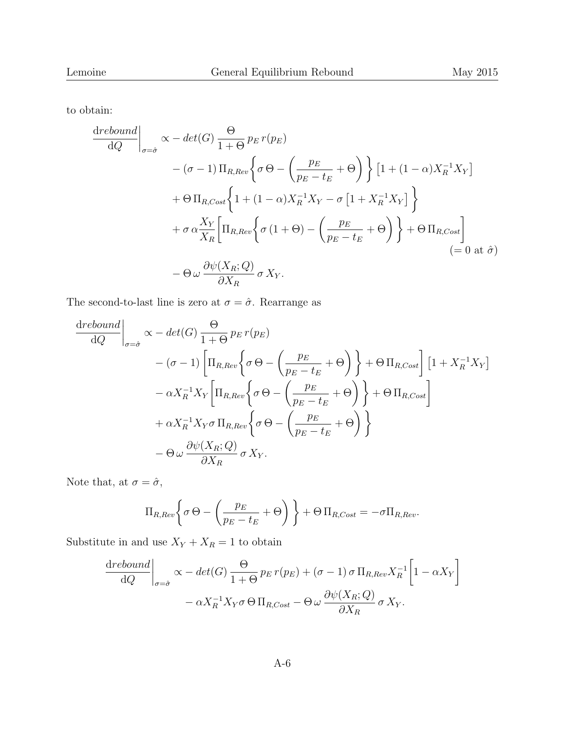to obtain:

$$
\frac{\text{drebound}}{\text{d}Q}\Big|_{\sigma=\hat{\sigma}} \propto -\det(G) \frac{\Theta}{1+\Theta} p_E r(p_E)
$$
  
-( $\sigma$  - 1)  $\Pi_{R, Rev} \Big\{ \sigma \Theta - \Big( \frac{p_E}{p_E - t_E} + \Theta \Big) \Big\} [1 + (1 - \alpha) X_R^{-1} X_Y ]$   
+  $\Theta \Pi_{R, Cost} \Big\{ 1 + (1 - \alpha) X_R^{-1} X_Y - \sigma [1 + X_R^{-1} X_Y] \Big\}$   
+  $\sigma \alpha \frac{X_Y}{X_R} \Big[ \Pi_{R, Rev} \Big\{ \sigma (1+\Theta) - \Big( \frac{p_E}{p_E - t_E} + \Theta \Big) \Big\} + \Theta \Pi_{R, Cost} \Big] \Big\}$   
=  $\Theta \omega \frac{\partial \psi(X_R; Q)}{\partial X_R} \sigma X_Y.$ 

The second-to-last line is zero at  $\sigma=\hat{\sigma}.$  Rearrange as

$$
\frac{\text{drebound}}{\text{d}Q}\Big|_{\sigma=\hat{\sigma}} \propto -\det(G) \frac{\Theta}{1+\Theta} p_E r(p_E)
$$
\n
$$
- (\sigma - 1) \left[ \Pi_{R,Rev} \left\{ \sigma \Theta - \left( \frac{p_E}{p_E - t_E} + \Theta \right) \right\} + \Theta \Pi_{R, Cost} \right] \left[ 1 + X_R^{-1} X_Y \right]
$$
\n
$$
- \alpha X_R^{-1} X_Y \left[ \Pi_{R, Rev} \left\{ \sigma \Theta - \left( \frac{p_E}{p_E - t_E} + \Theta \right) \right\} + \Theta \Pi_{R, Cost} \right]
$$
\n
$$
+ \alpha X_R^{-1} X_Y \sigma \Pi_{R, Rev} \left\{ \sigma \Theta - \left( \frac{p_E}{p_E - t_E} + \Theta \right) \right\}
$$
\n
$$
- \Theta \omega \frac{\partial \psi(X_R; Q)}{\partial X_R} \sigma X_Y.
$$

Note that, at  $\sigma=\hat{\sigma},$ 

$$
\Pi_{R,Rev} \left\{ \sigma \Theta - \left( \frac{p_E}{p_E - t_E} + \Theta \right) \right\} + \Theta \Pi_{R, Cost} = -\sigma \Pi_{R, Rev}.
$$

Substitute in and use  $X_Y+X_R=1$  to obtain

$$
\frac{\mathrm{d}rebound}{\mathrm{d}Q}\bigg|_{\sigma=\hat{\sigma}} \propto -\det(G) \frac{\Theta}{1+\Theta} p_E r(p_E) + (\sigma - 1) \sigma \Pi_{R, Rev} X_R^{-1} \left[1 - \alpha X_Y\right] - \alpha X_R^{-1} X_Y \sigma \Theta \Pi_{R, Cost} - \Theta \omega \frac{\partial \psi(X_R; Q)}{\partial X_R} \sigma X_Y.
$$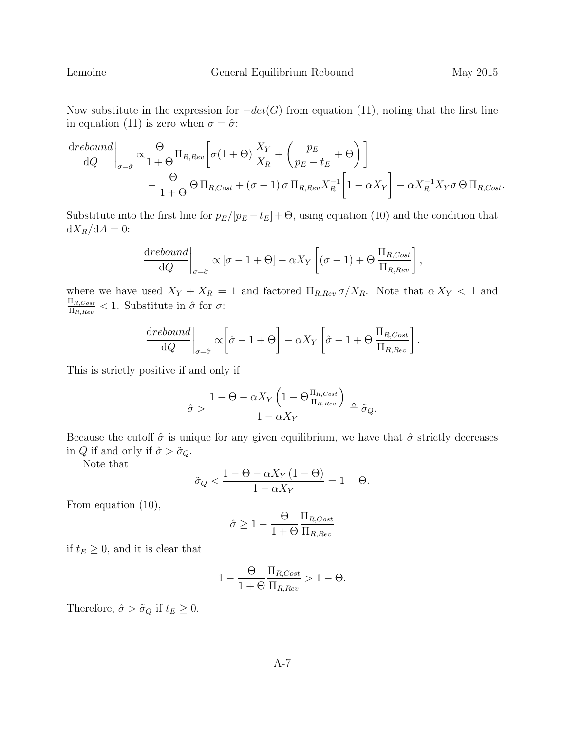Now substitute in the expression for  $-det(G)$  from equation (11), noting that the first line in equation (11) is zero when  $\sigma = \hat{\sigma}$ :

$$
\frac{\text{d}rebound}{\text{d}Q}\bigg|_{\sigma=\hat{\sigma}} \propto \frac{\Theta}{1+\Theta} \Pi_{R,Rev} \left[ \sigma(1+\Theta) \frac{X_Y}{X_R} + \left( \frac{p_E}{p_E - t_E} + \Theta \right) \right] \n- \frac{\Theta}{1+\Theta} \Theta \Pi_{R, Cost} + (\sigma - 1) \sigma \Pi_{R, Rev} X_R^{-1} \left[ 1 - \alpha X_Y \right] - \alpha X_R^{-1} X_Y \sigma \Theta \Pi_{R, Cost}.
$$

Substitute into the first line for  $p_E/[p_E - t_E] + \Theta$ , using equation (10) and the condition that  $dX_R/dA = 0$ :

$$
\frac{\text{d}rebound}{\text{d}Q}\bigg|_{\sigma=\hat{\sigma}} \propto [\sigma - 1 + \Theta] - \alpha X_Y \left[ (\sigma - 1) + \Theta \frac{\Pi_{R,Cost}}{\Pi_{R,Rev}} \right],
$$

where we have used  $X_Y + X_R = 1$  and factored  $\Pi_{R,Rev} \sigma/X_R$ . Note that  $\alpha X_Y < 1$  and  $\Pi_{R,Cost}$  $\frac{\Pi_{R,Cost}}{\Pi_{R,Rev}} < 1$ . Substitute in  $\hat{\sigma}$  for  $\sigma$ :

$$
\frac{\text{d}rebound}{\text{d}Q}\bigg|_{\sigma=\hat{\sigma}} \propto \left[\hat{\sigma} - 1 + \Theta\right] - \alpha X_Y \left[\hat{\sigma} - 1 + \Theta \frac{\Pi_{R,Cost}}{\Pi_{R,Rev}}\right].
$$

This is strictly positive if and only if

$$
\hat{\sigma} > \frac{1 - \Theta - \alpha X_Y \left(1 - \Theta \frac{\Pi_{R,Cost}}{\Pi_{R,Rev}}\right)}{1 - \alpha X_Y} \triangleq \tilde{\sigma}_Q.
$$

Because the cutoff  $\hat{\sigma}$  is unique for any given equilibrium, we have that  $\hat{\sigma}$  strictly decreases in Q if and only if  $\hat{\sigma} > \tilde{\sigma}_Q$ .

Note that

$$
\tilde{\sigma}_Q < \frac{1 - \Theta - \alpha X_Y \left(1 - \Theta\right)}{1 - \alpha X_Y} = 1 - \Theta.
$$

From equation (10),

$$
\hat{\sigma} \ge 1 - \frac{\Theta}{1 + \Theta} \frac{\Pi_{R, Cost}}{\Pi_{R, Rev}}
$$

if  $t_E \geq 0$ , and it is clear that

$$
1 - \frac{\Theta}{1 + \Theta} \frac{\Pi_{R, Cost}}{\Pi_{R, Rev}} > 1 - \Theta.
$$

Therefore,  $\hat{\sigma} > \tilde{\sigma}_Q$  if  $t_E \geq 0$ .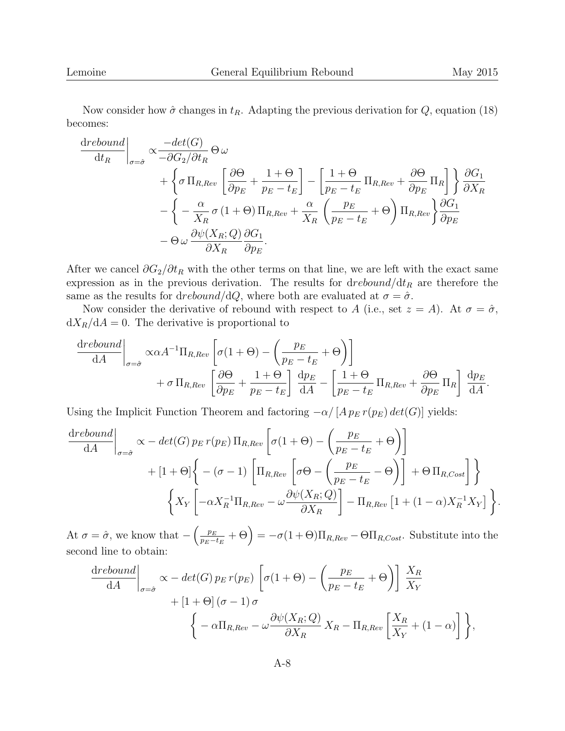Now consider how  $\hat{\sigma}$  changes in  $t_R$ . Adapting the previous derivation for Q, equation (18) becomes:

$$
\frac{\text{drebound}}{\text{d}t_R} \bigg|_{\sigma=\hat{\sigma}} \propto \frac{-\det(G)}{-\partial G_2/\partial t_R} \Theta \omega \n+ \left\{ \sigma \prod_{R, Rev} \left[ \frac{\partial \Theta}{\partial p_E} + \frac{1+\Theta}{p_E - t_E} \right] - \left[ \frac{1+\Theta}{p_E - t_E} \prod_{R, Rev} + \frac{\partial \Theta}{\partial p_E} \prod_R \right] \right\} \frac{\partial G_1}{\partial X_R} \n- \left\{ - \frac{\alpha}{X_R} \sigma (1+\Theta) \prod_{R, Rev} + \frac{\alpha}{X_R} \left( \frac{p_E}{p_E - t_E} + \Theta \right) \prod_{R, Rev} \right\} \frac{\partial G_1}{\partial p_E} \n- \Theta \omega \frac{\partial \psi(X_R; Q)}{\partial X_R} \frac{\partial G_1}{\partial p_E}.
$$

After we cancel  $\partial G_2/\partial t_R$  with the other terms on that line, we are left with the exact same expression as in the previous derivation. The results for  $\frac{d}{dt_R}$  are therefore the same as the results for drebound/dQ, where both are evaluated at  $\sigma = \hat{\sigma}$ .

Now consider the derivative of rebound with respect to A (i.e., set  $z = A$ ). At  $\sigma = \hat{\sigma}$ ,  $dX_R/dA = 0$ . The derivative is proportional to

$$
\frac{\mathrm{d}rebound}{\mathrm{d}A}\Big|_{\sigma=\hat{\sigma}} \propto \alpha A^{-1} \Pi_{R, Rev} \left[ \sigma (1 + \Theta) - \left( \frac{p_E}{p_E - t_E} + \Theta \right) \right] \n+ \sigma \Pi_{R, Rev} \left[ \frac{\partial \Theta}{\partial p_E} + \frac{1 + \Theta}{p_E - t_E} \right] \frac{\mathrm{d}p_E}{\mathrm{d}A} - \left[ \frac{1 + \Theta}{p_E - t_E} \Pi_{R, Rev} + \frac{\partial \Theta}{\partial p_E} \Pi_R \right] \frac{\mathrm{d}p_E}{\mathrm{d}A}.
$$

Using the Implicit Function Theorem and factoring  $-\alpha/[A p_E r(p_E) det(G)]$  yields:

$$
\frac{\text{drebound}}{\text{d}A}\bigg|_{\sigma=\hat{\sigma}} \propto -\det(G) p_E r(p_E) \Pi_{R, Rev} \left[ \sigma(1+\Theta) - \left( \frac{p_E}{p_E - t_E} + \Theta \right) \right] \n+ [1+\Theta] \left\{ -(\sigma-1) \left[ \Pi_{R, Rev} \left[ \sigma \Theta - \left( \frac{p_E}{p_E - t_E} - \Theta \right) \right] + \Theta \Pi_{R, Cost} \right] \right\} \n\left\{ X_Y \left[ -\alpha X_R^{-1} \Pi_{R, Rev} - \omega \frac{\partial \psi(X_R; Q)}{\partial X_R} \right] - \Pi_{R, Rev} \left[ 1 + (1-\alpha) X_R^{-1} X_Y \right] \right\}.
$$

At  $\sigma = \hat{\sigma}$ , we know that  $-\left(\frac{p_E}{p_E - \hat{\sigma}}\right)$  $\left(\frac{p_E}{p_E-t_E} + \Theta\right) = -\sigma(1+\Theta)\Pi_{R,Rev} - \Theta\Pi_{R, Cost}$ . Substitute into the second line to obtain:

$$
\frac{\text{d}rebound}{\text{d}A}\bigg|_{\sigma=\hat{\sigma}} \propto -\det(G) p_E r(p_E) \left[\sigma(1+\Theta) - \left(\frac{p_E}{p_E - t_E} + \Theta\right)\right] \frac{X_R}{X_Y} + [1+\Theta] (\sigma-1) \sigma\n\left\{-\alpha \Pi_{R, Rev} - \omega \frac{\partial \psi(X_R; Q)}{\partial X_R} X_R - \Pi_{R, Rev} \left[\frac{X_R}{X_Y} + (1-\alpha)\right]\right\},
$$